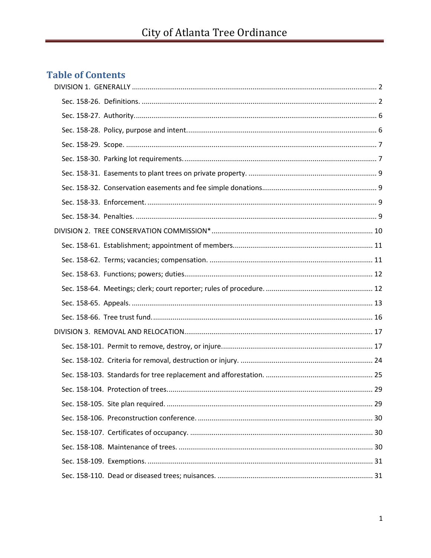# **Table of Contents**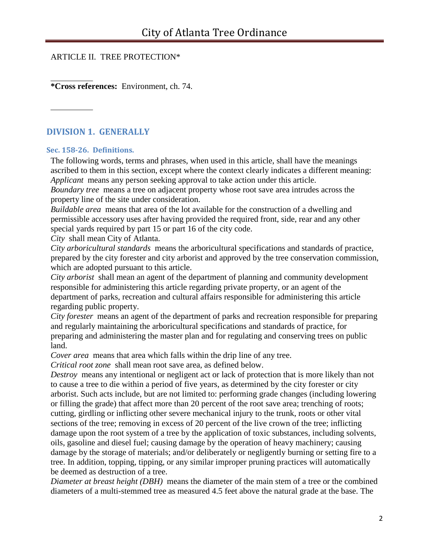## ARTICLE II. TREE PROTECTION\*

**\*Cross references:** Environment, ch. 74.

# <span id="page-1-0"></span>**DIVISION 1. GENERALLY**

#### <span id="page-1-1"></span>**Sec. 158-26. Definitions.**

The following words, terms and phrases, when used in this article, shall have the meanings ascribed to them in this section, except where the context clearly indicates a different meaning: *Applicant* means any person seeking approval to take action under this article.

*Boundary tree* means a tree on adjacent property whose root save area intrudes across the property line of the site under consideration.

*Buildable area* means that area of the lot available for the construction of a dwelling and permissible accessory uses after having provided the required front, side, rear and any other special yards required by part 15 or part 16 of the city code.

*City* shall mean City of Atlanta.

*City arboricultural standards* means the arboricultural specifications and standards of practice, prepared by the city forester and city arborist and approved by the tree conservation commission, which are adopted pursuant to this article.

*City arborist* shall mean an agent of the department of planning and community development responsible for administering this article regarding private property, or an agent of the department of parks, recreation and cultural affairs responsible for administering this article regarding public property.

*City forester* means an agent of the department of parks and recreation responsible for preparing and regularly maintaining the arboricultural specifications and standards of practice, for preparing and administering the master plan and for regulating and conserving trees on public land.

*Cover area* means that area which falls within the drip line of any tree.

*Critical root zone* shall mean root save area, as defined below.

*Destroy* means any intentional or negligent act or lack of protection that is more likely than not to cause a tree to die within a period of five years, as determined by the city forester or city arborist. Such acts include, but are not limited to: performing grade changes (including lowering or filling the grade) that affect more than 20 percent of the root save area; trenching of roots; cutting, girdling or inflicting other severe mechanical injury to the trunk, roots or other vital sections of the tree; removing in excess of 20 percent of the live crown of the tree; inflicting damage upon the root system of a tree by the application of toxic substances, including solvents, oils, gasoline and diesel fuel; causing damage by the operation of heavy machinery; causing damage by the storage of materials; and/or deliberately or negligently burning or setting fire to a tree. In addition, topping, tipping, or any similar improper pruning practices will automatically be deemed as destruction of a tree.

*Diameter at breast height (DBH)* means the diameter of the main stem of a tree or the combined diameters of a multi-stemmed tree as measured 4.5 feet above the natural grade at the base. The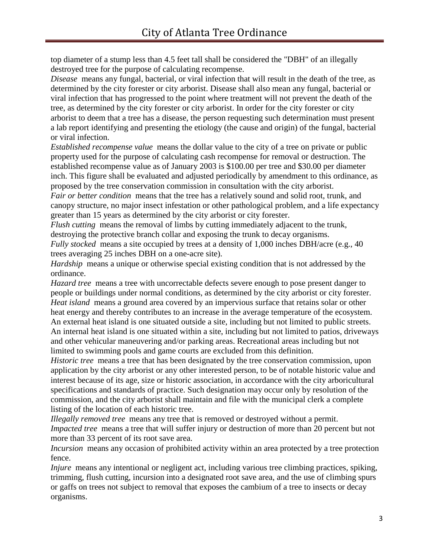top diameter of a stump less than 4.5 feet tall shall be considered the "DBH" of an illegally destroyed tree for the purpose of calculating recompense.

*Disease* means any fungal, bacterial, or viral infection that will result in the death of the tree, as determined by the city forester or city arborist. Disease shall also mean any fungal, bacterial or viral infection that has progressed to the point where treatment will not prevent the death of the tree, as determined by the city forester or city arborist. In order for the city forester or city arborist to deem that a tree has a disease, the person requesting such determination must present a lab report identifying and presenting the etiology (the cause and origin) of the fungal, bacterial or viral infection.

*Established recompense value* means the dollar value to the city of a tree on private or public property used for the purpose of calculating cash recompense for removal or destruction. The established recompense value as of January 2003 is \$100.00 per tree and \$30.00 per diameter inch. This figure shall be evaluated and adjusted periodically by amendment to this ordinance, as proposed by the tree conservation commission in consultation with the city arborist.

*Fair or better condition* means that the tree has a relatively sound and solid root, trunk, and canopy structure, no major insect infestation or other pathological problem, and a life expectancy greater than 15 years as determined by the city arborist or city forester.

*Flush cutting* means the removal of limbs by cutting immediately adjacent to the trunk, destroying the protective branch collar and exposing the trunk to decay organisms.

*Fully stocked* means a site occupied by trees at a density of 1,000 inches DBH/acre (e.g., 40 trees averaging 25 inches DBH on a one-acre site).

*Hardship* means a unique or otherwise special existing condition that is not addressed by the ordinance.

*Hazard tree* means a tree with uncorrectable defects severe enough to pose present danger to people or buildings under normal conditions, as determined by the city arborist or city forester. *Heat island* means a ground area covered by an impervious surface that retains solar or other heat energy and thereby contributes to an increase in the average temperature of the ecosystem. An external heat island is one situated outside a site, including but not limited to public streets. An internal heat island is one situated within a site, including but not limited to patios, driveways and other vehicular maneuvering and/or parking areas. Recreational areas including but not limited to swimming pools and game courts are excluded from this definition.

*Historic tree* means a tree that has been designated by the tree conservation commission, upon application by the city arborist or any other interested person, to be of notable historic value and interest because of its age, size or historic association, in accordance with the city arboricultural specifications and standards of practice. Such designation may occur only by resolution of the commission, and the city arborist shall maintain and file with the municipal clerk a complete listing of the location of each historic tree.

*Illegally removed tree* means any tree that is removed or destroyed without a permit. *Impacted tree* means a tree that will suffer injury or destruction of more than 20 percent but not more than 33 percent of its root save area.

*Incursion* means any occasion of prohibited activity within an area protected by a tree protection fence.

*Injure* means any intentional or negligent act, including various tree climbing practices, spiking, trimming, flush cutting, incursion into a designated root save area, and the use of climbing spurs or gaffs on trees not subject to removal that exposes the cambium of a tree to insects or decay organisms.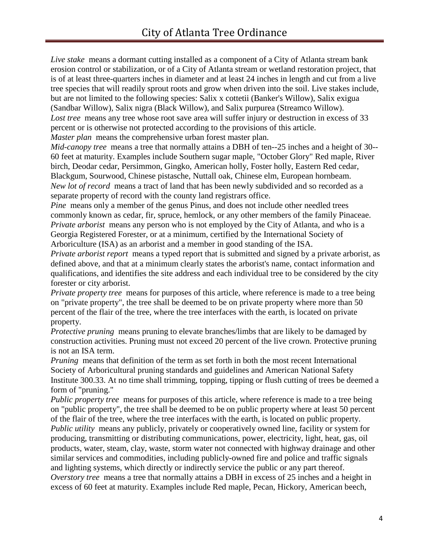*Live stake* means a dormant cutting installed as a component of a City of Atlanta stream bank erosion control or stabilization, or of a City of Atlanta stream or wetland restoration project, that is of at least three-quarters inches in diameter and at least 24 inches in length and cut from a live tree species that will readily sprout roots and grow when driven into the soil. Live stakes include, but are not limited to the following species: Salix x cottetii (Banker's Willow), Salix exigua (Sandbar Willow), Salix nigra (Black Willow), and Salix purpurea (Streamco Willow). Lost tree means any tree whose root save area will suffer injury or destruction in excess of 33 percent or is otherwise not protected according to the provisions of this article. *Master plan* means the comprehensive urban forest master plan.

*Mid-canopy tree* means a tree that normally attains a DBH of ten--25 inches and a height of 30-- 60 feet at maturity. Examples include Southern sugar maple, "October Glory" Red maple, River birch, Deodar cedar, Persimmon, Gingko, American holly, Foster holly, Eastern Red cedar, Blackgum, Sourwood, Chinese pistasche, Nuttall oak, Chinese elm, European hornbeam. *New lot of record* means a tract of land that has been newly subdivided and so recorded as a separate property of record with the county land registrars office.

*Pine* means only a member of the genus Pinus, and does not include other needled trees commonly known as cedar, fir, spruce, hemlock, or any other members of the family Pinaceae. *Private arborist* means any person who is not employed by the City of Atlanta, and who is a Georgia Registered Forester, or at a minimum, certified by the International Society of Arboriculture (ISA) as an arborist and a member in good standing of the ISA.

*Private arborist report* means a typed report that is submitted and signed by a private arborist, as defined above, and that at a minimum clearly states the arborist's name, contact information and qualifications, and identifies the site address and each individual tree to be considered by the city forester or city arborist.

*Private property tree* means for purposes of this article, where reference is made to a tree being on "private property", the tree shall be deemed to be on private property where more than 50 percent of the flair of the tree, where the tree interfaces with the earth, is located on private property.

*Protective pruning* means pruning to elevate branches/limbs that are likely to be damaged by construction activities. Pruning must not exceed 20 percent of the live crown. Protective pruning is not an ISA term.

*Pruning* means that definition of the term as set forth in both the most recent International Society of Arboricultural pruning standards and guidelines and American National Safety Institute 300.33. At no time shall trimming, topping, tipping or flush cutting of trees be deemed a form of "pruning."

*Public property tree* means for purposes of this article, where reference is made to a tree being on "public property", the tree shall be deemed to be on public property where at least 50 percent of the flair of the tree, where the tree interfaces with the earth, is located on public property. *Public utility* means any publicly, privately or cooperatively owned line, facility or system for producing, transmitting or distributing communications, power, electricity, light, heat, gas, oil products, water, steam, clay, waste, storm water not connected with highway drainage and other similar services and commodities, including publicly-owned fire and police and traffic signals and lighting systems, which directly or indirectly service the public or any part thereof. *Overstory tree* means a tree that normally attains a DBH in excess of 25 inches and a height in excess of 60 feet at maturity. Examples include Red maple, Pecan, Hickory, American beech,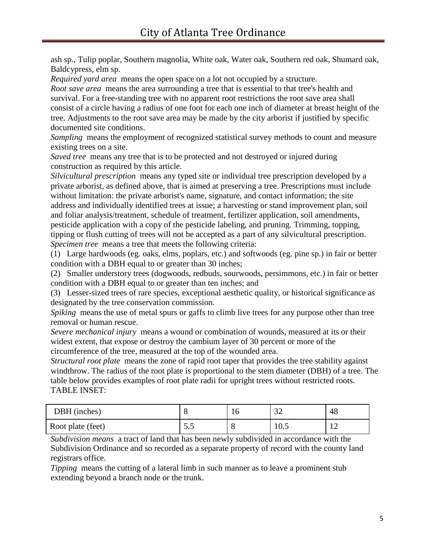ash sp., Tulip poplar, Southern magnolia, White oak, Water oak, Southern red oak, Shumard oak, Baldcypress, elm sp.

*Required yard area* means the open space on a lot not occupied by a structure.

*Root save area* means the area surrounding a tree that is essential to that tree's health and survival. For a free-standing tree with no apparent root restrictions the root save area shall consist of a circle having a radius of one foot for each one inch of diameter at breast height of the tree. Adjustments to the root save area may be made by the city arborist if justified by specific documented site conditions.

*Sampling* means the employment of recognized statistical survey methods to count and measure existing trees on a site.

*Saved tree* means any tree that is to be protected and not destroyed or injured during construction as required by this article.

*Silvicultural prescription* means any typed site or individual tree prescription developed by a private arborist, as defined above, that is aimed at preserving a tree. Prescriptions must include without limitation: the private arborist's name, signature, and contact information; the site address and individually identified trees at issue; a harvesting or stand improvement plan, soil and foliar analysis/treatment, schedule of treatment, fertilizer application, soil amendments, pesticide application with a copy of the pesticide labeling, and pruning. Trimming, topping, tipping or flush cutting of trees will not be accepted as a part of any silvicultural prescription. *Specimen tree* means a tree that meets the following criteria:

(1) Large hardwoods (eg. oaks, elms, poplars, etc.) and softwoods (eg. pine sp.) in fair or better condition with a DBH equal to or greater than 30 inches;

(2) Smaller understory trees (dogwoods, redbuds, sourwoods, persimmons, etc.) in fair or better condition with a DBH equal to or greater than ten inches; and

(3) Lesser-sized trees of rare species, exceptional aesthetic quality, or historical significance as designated by the tree conservation commission.

*Spiking* means the use of metal spurs or gaffs to climb live trees for any purpose other than tree removal or human rescue.

*Severe mechanical injury* means a wound or combination of wounds, measured at its or their widest extent, that expose or destroy the cambium layer of 30 percent or more of the circumference of the tree, measured at the top of the wounded area.

*Structural root plate* means the zone of rapid root taper that provides the tree stability against windthrow. The radius of the root plate is proportional to the stem diameter (DBH) of a tree. The table below provides examples of root plate radii for upright trees without restricted roots. TABLE INSET:

| DBH (inches)      |      | 1 U | $\sim$<br>◡∸ | 48 |
|-------------------|------|-----|--------------|----|
| Root plate (feet) | ن. ب | - C | 10.5         | ┸  |

*Subdivision means* a tract of land that has been newly subdivided in accordance with the Subdivision Ordinance and so recorded as a separate property of record with the county land registrars office.

*Tipping* means the cutting of a lateral limb in such manner as to leave a prominent stub extending beyond a branch node or the trunk.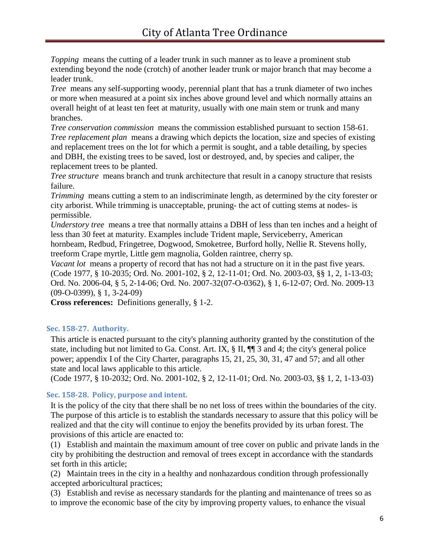*Topping* means the cutting of a leader trunk in such manner as to leave a prominent stub extending beyond the node (crotch) of another leader trunk or major branch that may become a leader trunk.

*Tree* means any self-supporting woody, perennial plant that has a trunk diameter of two inches or more when measured at a point six inches above ground level and which normally attains an overall height of at least ten feet at maturity, usually with one main stem or trunk and many branches.

*Tree conservation commission* means the commission established pursuant to section 158-61. *Tree replacement plan* means a drawing which depicts the location, size and species of existing and replacement trees on the lot for which a permit is sought, and a table detailing, by species and DBH, the existing trees to be saved, lost or destroyed, and, by species and caliper, the replacement trees to be planted.

*Tree structure* means branch and trunk architecture that result in a canopy structure that resists failure.

*Trimming* means cutting a stem to an indiscriminate length, as determined by the city forester or city arborist. While trimming is unacceptable, pruning- the act of cutting stems at nodes- is permissible.

*Understory tree* means a tree that normally attains a DBH of less than ten inches and a height of less than 30 feet at maturity. Examples include Trident maple, Serviceberry, American hornbeam, Redbud, Fringetree, Dogwood, Smoketree, Burford holly, Nellie R. Stevens holly, treeform Crape myrtle, Little gem magnolia, Golden raintree, cherry sp.

*Vacant lot* means a property of record that has not had a structure on it in the past five years. (Code 1977, § 10-2035; Ord. No. 2001-102, § 2, 12-11-01; Ord. No. 2003-03, §§ 1, 2, 1-13-03; Ord. No. 2006-04, § 5, 2-14-06; Ord. No. 2007-32(07-O-0362), § 1, 6-12-07; Ord. No. 2009-13 (09-O-0399), § 1, 3-24-09)

**Cross references:** Definitions generally, § 1-2.

## <span id="page-5-0"></span>**Sec. 158-27. Authority.**

This article is enacted pursuant to the city's planning authority granted by the constitution of the state, including but not limited to Ga. Const. Art. IX, § II, ¶¶ 3 and 4; the city's general police power; appendix I of the City Charter, paragraphs 15, 21, 25, 30, 31, 47 and 57; and all other state and local laws applicable to this article.

(Code 1977, § 10-2032; Ord. No. 2001-102, § 2, 12-11-01; Ord. No. 2003-03, §§ 1, 2, 1-13-03)

## <span id="page-5-1"></span>**Sec. 158-28. Policy, purpose and intent.**

It is the policy of the city that there shall be no net loss of trees within the boundaries of the city. The purpose of this article is to establish the standards necessary to assure that this policy will be realized and that the city will continue to enjoy the benefits provided by its urban forest. The provisions of this article are enacted to:

(1) Establish and maintain the maximum amount of tree cover on public and private lands in the city by prohibiting the destruction and removal of trees except in accordance with the standards set forth in this article;

(2) Maintain trees in the city in a healthy and nonhazardous condition through professionally accepted arboricultural practices;

(3) Establish and revise as necessary standards for the planting and maintenance of trees so as to improve the economic base of the city by improving property values, to enhance the visual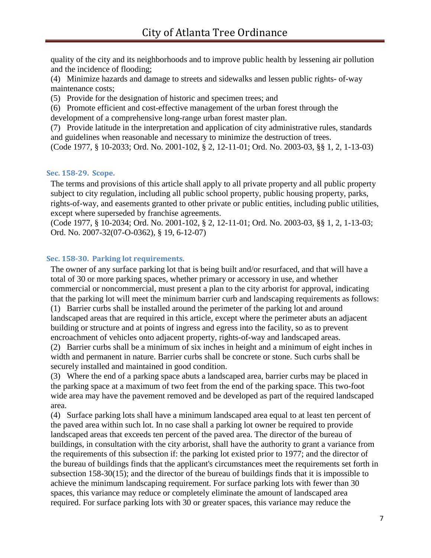quality of the city and its neighborhoods and to improve public health by lessening air pollution and the incidence of flooding;

(4) Minimize hazards and damage to streets and sidewalks and lessen public rights- of-way maintenance costs;

(5) Provide for the designation of historic and specimen trees; and

(6) Promote efficient and cost-effective management of the urban forest through the development of a comprehensive long-range urban forest master plan.

(7) Provide latitude in the interpretation and application of city administrative rules, standards and guidelines when reasonable and necessary to minimize the destruction of trees. (Code 1977, § 10-2033; Ord. No. 2001-102, § 2, 12-11-01; Ord. No. 2003-03, §§ 1, 2, 1-13-03)

## <span id="page-6-0"></span>**Sec. 158-29. Scope.**

The terms and provisions of this article shall apply to all private property and all public property subject to city regulation, including all public school property, public housing property, parks, rights-of-way, and easements granted to other private or public entities, including public utilities, except where superseded by franchise agreements.

(Code 1977, § 10-2034; Ord. No. 2001-102, § 2, 12-11-01; Ord. No. 2003-03, §§ 1, 2, 1-13-03; Ord. No. 2007-32(07-O-0362), § 19, 6-12-07)

## <span id="page-6-1"></span>**Sec. 158-30. Parking lot requirements.**

The owner of any surface parking lot that is being built and/or resurfaced, and that will have a total of 30 or more parking spaces, whether primary or accessory in use, and whether commercial or noncommercial, must present a plan to the city arborist for approval, indicating that the parking lot will meet the minimum barrier curb and landscaping requirements as follows:

(1) Barrier curbs shall be installed around the perimeter of the parking lot and around landscaped areas that are required in this article, except where the perimeter abuts an adjacent building or structure and at points of ingress and egress into the facility, so as to prevent encroachment of vehicles onto adjacent property, rights-of-way and landscaped areas.

(2) Barrier curbs shall be a minimum of six inches in height and a minimum of eight inches in width and permanent in nature. Barrier curbs shall be concrete or stone. Such curbs shall be securely installed and maintained in good condition.

(3) Where the end of a parking space abuts a landscaped area, barrier curbs may be placed in the parking space at a maximum of two feet from the end of the parking space. This two-foot wide area may have the pavement removed and be developed as part of the required landscaped area.

(4) Surface parking lots shall have a minimum landscaped area equal to at least ten percent of the paved area within such lot. In no case shall a parking lot owner be required to provide landscaped areas that exceeds ten percent of the paved area. The director of the bureau of buildings, in consultation with the city arborist, shall have the authority to grant a variance from the requirements of this subsection if: the parking lot existed prior to 1977; and the director of the bureau of buildings finds that the applicant's circumstances meet the requirements set forth in subsection 158-30(15); and the director of the bureau of buildings finds that it is impossible to achieve the minimum landscaping requirement. For surface parking lots with fewer than 30 spaces, this variance may reduce or completely eliminate the amount of landscaped area required. For surface parking lots with 30 or greater spaces, this variance may reduce the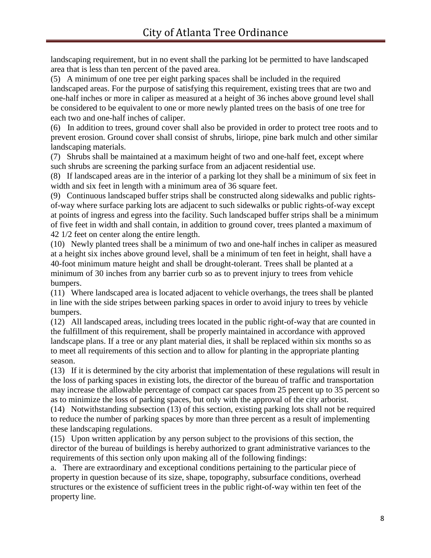landscaping requirement, but in no event shall the parking lot be permitted to have landscaped area that is less than ten percent of the paved area.

(5) A minimum of one tree per eight parking spaces shall be included in the required landscaped areas. For the purpose of satisfying this requirement, existing trees that are two and one-half inches or more in caliper as measured at a height of 36 inches above ground level shall be considered to be equivalent to one or more newly planted trees on the basis of one tree for each two and one-half inches of caliper.

(6) In addition to trees, ground cover shall also be provided in order to protect tree roots and to prevent erosion. Ground cover shall consist of shrubs, liriope, pine bark mulch and other similar landscaping materials.

(7) Shrubs shall be maintained at a maximum height of two and one-half feet, except where such shrubs are screening the parking surface from an adjacent residential use.

(8) If landscaped areas are in the interior of a parking lot they shall be a minimum of six feet in width and six feet in length with a minimum area of 36 square feet.

(9) Continuous landscaped buffer strips shall be constructed along sidewalks and public rightsof-way where surface parking lots are adjacent to such sidewalks or public rights-of-way except at points of ingress and egress into the facility. Such landscaped buffer strips shall be a minimum of five feet in width and shall contain, in addition to ground cover, trees planted a maximum of 42 1/2 feet on center along the entire length.

(10) Newly planted trees shall be a minimum of two and one-half inches in caliper as measured at a height six inches above ground level, shall be a minimum of ten feet in height, shall have a 40-foot minimum mature height and shall be drought-tolerant. Trees shall be planted at a minimum of 30 inches from any barrier curb so as to prevent injury to trees from vehicle bumpers.

(11) Where landscaped area is located adjacent to vehicle overhangs, the trees shall be planted in line with the side stripes between parking spaces in order to avoid injury to trees by vehicle bumpers.

(12) All landscaped areas, including trees located in the public right-of-way that are counted in the fulfillment of this requirement, shall be properly maintained in accordance with approved landscape plans. If a tree or any plant material dies, it shall be replaced within six months so as to meet all requirements of this section and to allow for planting in the appropriate planting season.

(13) If it is determined by the city arborist that implementation of these regulations will result in the loss of parking spaces in existing lots, the director of the bureau of traffic and transportation may increase the allowable percentage of compact car spaces from 25 percent up to 35 percent so as to minimize the loss of parking spaces, but only with the approval of the city arborist.

(14) Notwithstanding subsection (13) of this section, existing parking lots shall not be required to reduce the number of parking spaces by more than three percent as a result of implementing these landscaping regulations.

(15) Upon written application by any person subject to the provisions of this section, the director of the bureau of buildings is hereby authorized to grant administrative variances to the requirements of this section only upon making all of the following findings:

a. There are extraordinary and exceptional conditions pertaining to the particular piece of property in question because of its size, shape, topography, subsurface conditions, overhead structures or the existence of sufficient trees in the public right-of-way within ten feet of the property line.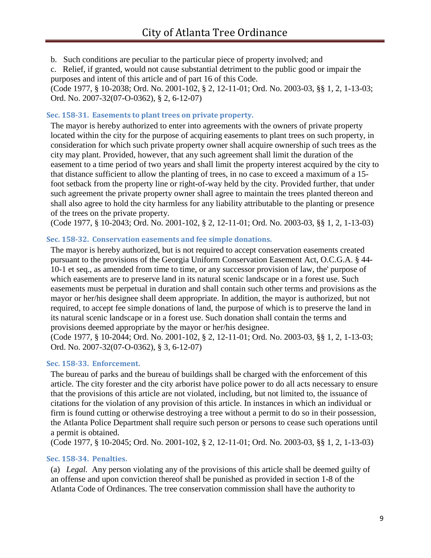b. Such conditions are peculiar to the particular piece of property involved; and

c. Relief, if granted, would not cause substantial detriment to the public good or impair the purposes and intent of this article and of part 16 of this Code.

(Code 1977, § 10-2038; Ord. No. 2001-102, § 2, 12-11-01; Ord. No. 2003-03, §§ 1, 2, 1-13-03; Ord. No. 2007-32(07-O-0362), § 2, 6-12-07)

#### <span id="page-8-0"></span>**Sec. 158-31. Easements to plant trees on private property.**

The mayor is hereby authorized to enter into agreements with the owners of private property located within the city for the purpose of acquiring easements to plant trees on such property, in consideration for which such private property owner shall acquire ownership of such trees as the city may plant. Provided, however, that any such agreement shall limit the duration of the easement to a time period of two years and shall limit the property interest acquired by the city to that distance sufficient to allow the planting of trees, in no case to exceed a maximum of a 15 foot setback from the property line or right-of-way held by the city. Provided further, that under such agreement the private property owner shall agree to maintain the trees planted thereon and shall also agree to hold the city harmless for any liability attributable to the planting or presence of the trees on the private property.

(Code 1977, § 10-2043; Ord. No. 2001-102, § 2, 12-11-01; Ord. No. 2003-03, §§ 1, 2, 1-13-03)

## <span id="page-8-1"></span>**Sec. 158-32. Conservation easements and fee simple donations.**

The mayor is hereby authorized, but is not required to accept conservation easements created pursuant to the provisions of the Georgia Uniform Conservation Easement Act, O.C.G.A. § 44- 10-1 et seq., as amended from time to time, or any successor provision of law, the' purpose of which easements are to preserve land in its natural scenic landscape or in a forest use. Such easements must be perpetual in duration and shall contain such other terms and provisions as the mayor or her/his designee shall deem appropriate. In addition, the mayor is authorized, but not required, to accept fee simple donations of land, the purpose of which is to preserve the land in its natural scenic landscape or in a forest use. Such donation shall contain the terms and provisions deemed appropriate by the mayor or her/his designee.

(Code 1977, § 10-2044; Ord. No. 2001-102, § 2, 12-11-01; Ord. No. 2003-03, §§ 1, 2, 1-13-03; Ord. No. 2007-32(07-O-0362), § 3, 6-12-07)

## <span id="page-8-2"></span>**Sec. 158-33. Enforcement.**

The bureau of parks and the bureau of buildings shall be charged with the enforcement of this article. The city forester and the city arborist have police power to do all acts necessary to ensure that the provisions of this article are not violated, including, but not limited to, the issuance of citations for the violation of any provision of this article. In instances in which an individual or firm is found cutting or otherwise destroying a tree without a permit to do so in their possession, the Atlanta Police Department shall require such person or persons to cease such operations until a permit is obtained.

(Code 1977, § 10-2045; Ord. No. 2001-102, § 2, 12-11-01; Ord. No. 2003-03, §§ 1, 2, 1-13-03)

## <span id="page-8-3"></span>**Sec. 158-34. Penalties.**

(a) *Legal.* Any person violating any of the provisions of this article shall be deemed guilty of an offense and upon conviction thereof shall be punished as provided in section 1-8 of the Atlanta Code of Ordinances. The tree conservation commission shall have the authority to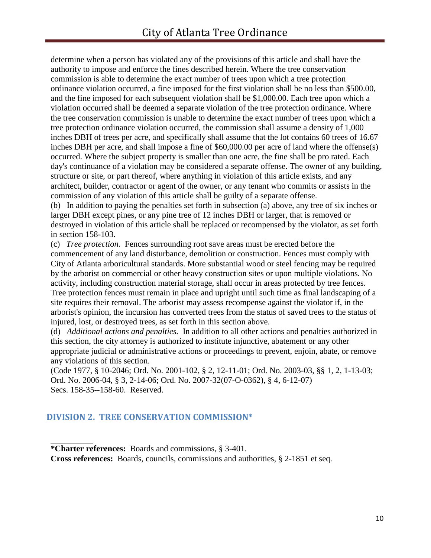determine when a person has violated any of the provisions of this article and shall have the authority to impose and enforce the fines described herein. Where the tree conservation commission is able to determine the exact number of trees upon which a tree protection ordinance violation occurred, a fine imposed for the first violation shall be no less than \$500.00, and the fine imposed for each subsequent violation shall be \$1,000.00. Each tree upon which a violation occurred shall be deemed a separate violation of the tree protection ordinance. Where the tree conservation commission is unable to determine the exact number of trees upon which a tree protection ordinance violation occurred, the commission shall assume a density of 1,000 inches DBH of trees per acre, and specifically shall assume that the lot contains 60 trees of 16.67 inches DBH per acre, and shall impose a fine of \$60,000.00 per acre of land where the offense(s) occurred. Where the subject property is smaller than one acre, the fine shall be pro rated. Each day's continuance of a violation may be considered a separate offense. The owner of any building, structure or site, or part thereof, where anything in violation of this article exists, and any architect, builder, contractor or agent of the owner, or any tenant who commits or assists in the commission of any violation of this article shall be guilty of a separate offense.

(b) In addition to paying the penalties set forth in subsection (a) above, any tree of six inches or larger DBH except pines, or any pine tree of 12 inches DBH or larger, that is removed or destroyed in violation of this article shall be replaced or recompensed by the violator, as set forth in section 158-103.

(c) *Tree protection.* Fences surrounding root save areas must be erected before the commencement of any land disturbance, demolition or construction. Fences must comply with City of Atlanta arboricultural standards. More substantial wood or steel fencing may be required by the arborist on commercial or other heavy construction sites or upon multiple violations. No activity, including construction material storage, shall occur in areas protected by tree fences. Tree protection fences must remain in place and upright until such time as final landscaping of a site requires their removal. The arborist may assess recompense against the violator if, in the arborist's opinion, the incursion has converted trees from the status of saved trees to the status of injured, lost, or destroyed trees, as set forth in this section above.

(d) *Additional actions and penalties.* In addition to all other actions and penalties authorized in this section, the city attorney is authorized to institute injunctive, abatement or any other appropriate judicial or administrative actions or proceedings to prevent, enjoin, abate, or remove any violations of this section.

(Code 1977, § 10-2046; Ord. No. 2001-102, § 2, 12-11-01; Ord. No. 2003-03, §§ 1, 2, 1-13-03; Ord. No. 2006-04, § 3, 2-14-06; Ord. No. 2007-32(07-O-0362), § 4, 6-12-07) Secs. 158-35--158-60. Reserved.

# <span id="page-9-0"></span>**DIVISION 2. TREE CONSERVATION COMMISSION\***

**Cross references:** Boards, councils, commissions and authorities, § 2-1851 et seq.

**<sup>\*</sup>Charter references:** Boards and commissions, § 3-401.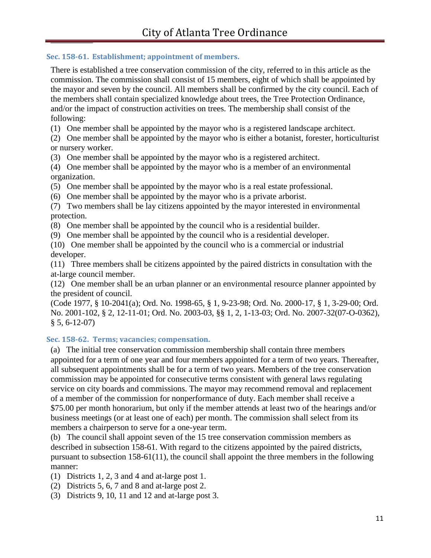## <span id="page-10-0"></span>**Sec. 158-61. Establishment; appointment of members.**

There is established a tree conservation commission of the city, referred to in this article as the commission. The commission shall consist of 15 members, eight of which shall be appointed by the mayor and seven by the council. All members shall be confirmed by the city council. Each of the members shall contain specialized knowledge about trees, the Tree Protection Ordinance, and/or the impact of construction activities on trees. The membership shall consist of the following:

(1) One member shall be appointed by the mayor who is a registered landscape architect.

(2) One member shall be appointed by the mayor who is either a botanist, forester, horticulturist or nursery worker.

(3) One member shall be appointed by the mayor who is a registered architect.

(4) One member shall be appointed by the mayor who is a member of an environmental organization.

(5) One member shall be appointed by the mayor who is a real estate professional.

(6) One member shall be appointed by the mayor who is a private arborist.

(7) Two members shall be lay citizens appointed by the mayor interested in environmental protection.

(8) One member shall be appointed by the council who is a residential builder.

(9) One member shall be appointed by the council who is a residential developer.

(10) One member shall be appointed by the council who is a commercial or industrial developer.

(11) Three members shall be citizens appointed by the paired districts in consultation with the at-large council member.

(12) One member shall be an urban planner or an environmental resource planner appointed by the president of council.

(Code 1977, § 10-2041(a); Ord. No. 1998-65, § 1, 9-23-98; Ord. No. 2000-17, § 1, 3-29-00; Ord. No. 2001-102, § 2, 12-11-01; Ord. No. 2003-03, §§ 1, 2, 1-13-03; Ord. No. 2007-32(07-O-0362), § 5, 6-12-07)

## <span id="page-10-1"></span>**Sec. 158-62. Terms; vacancies; compensation.**

(a) The initial tree conservation commission membership shall contain three members appointed for a term of one year and four members appointed for a term of two years. Thereafter, all subsequent appointments shall be for a term of two years. Members of the tree conservation commission may be appointed for consecutive terms consistent with general laws regulating service on city boards and commissions. The mayor may recommend removal and replacement of a member of the commission for nonperformance of duty. Each member shall receive a \$75.00 per month honorarium, but only if the member attends at least two of the hearings and/or business meetings (or at least one of each) per month. The commission shall select from its members a chairperson to serve for a one-year term.

(b) The council shall appoint seven of the 15 tree conservation commission members as described in subsection 158-61. With regard to the citizens appointed by the paired districts, pursuant to subsection 158-61(11), the council shall appoint the three members in the following manner:

(1) Districts 1, 2, 3 and 4 and at-large post 1.

- (2) Districts 5, 6, 7 and 8 and at-large post 2.
- (3) Districts 9, 10, 11 and 12 and at-large post 3.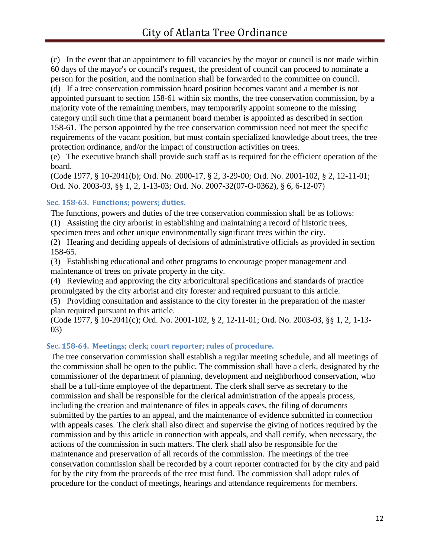(c) In the event that an appointment to fill vacancies by the mayor or council is not made within 60 days of the mayor's or council's request, the president of council can proceed to nominate a person for the position, and the nomination shall be forwarded to the committee on council. (d) If a tree conservation commission board position becomes vacant and a member is not appointed pursuant to section 158-61 within six months, the tree conservation commission, by a majority vote of the remaining members, may temporarily appoint someone to the missing category until such time that a permanent board member is appointed as described in section 158-61. The person appointed by the tree conservation commission need not meet the specific requirements of the vacant position, but must contain specialized knowledge about trees, the tree protection ordinance, and/or the impact of construction activities on trees.

(e) The executive branch shall provide such staff as is required for the efficient operation of the board.

(Code 1977, § 10-2041(b); Ord. No. 2000-17, § 2, 3-29-00; Ord. No. 2001-102, § 2, 12-11-01; Ord. No. 2003-03, §§ 1, 2, 1-13-03; Ord. No. 2007-32(07-O-0362), § 6, 6-12-07)

## <span id="page-11-0"></span>**Sec. 158-63. Functions; powers; duties.**

The functions, powers and duties of the tree conservation commission shall be as follows:

(1) Assisting the city arborist in establishing and maintaining a record of historic trees,

specimen trees and other unique environmentally significant trees within the city.

(2) Hearing and deciding appeals of decisions of administrative officials as provided in section 158-65.

(3) Establishing educational and other programs to encourage proper management and maintenance of trees on private property in the city.

(4) Reviewing and approving the city arboricultural specifications and standards of practice promulgated by the city arborist and city forester and required pursuant to this article.

(5) Providing consultation and assistance to the city forester in the preparation of the master plan required pursuant to this article.

(Code 1977, § 10-2041(c); Ord. No. 2001-102, § 2, 12-11-01; Ord. No. 2003-03, §§ 1, 2, 1-13- 03)

## <span id="page-11-1"></span>**Sec. 158-64. Meetings; clerk; court reporter; rules of procedure.**

The tree conservation commission shall establish a regular meeting schedule, and all meetings of the commission shall be open to the public. The commission shall have a clerk, designated by the commissioner of the department of planning, development and neighborhood conservation, who shall be a full-time employee of the department. The clerk shall serve as secretary to the commission and shall be responsible for the clerical administration of the appeals process, including the creation and maintenance of files in appeals cases, the filing of documents submitted by the parties to an appeal, and the maintenance of evidence submitted in connection with appeals cases. The clerk shall also direct and supervise the giving of notices required by the commission and by this article in connection with appeals, and shall certify, when necessary, the actions of the commission in such matters. The clerk shall also be responsible for the maintenance and preservation of all records of the commission. The meetings of the tree conservation commission shall be recorded by a court reporter contracted for by the city and paid for by the city from the proceeds of the tree trust fund. The commission shall adopt rules of procedure for the conduct of meetings, hearings and attendance requirements for members.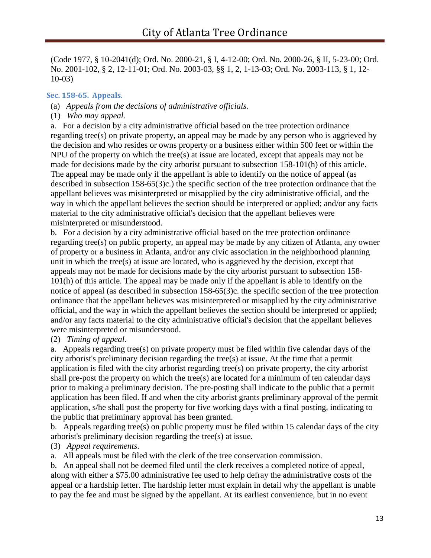(Code 1977, § 10-2041(d); Ord. No. 2000-21, § I, 4-12-00; Ord. No. 2000-26, § II, 5-23-00; Ord. No. 2001-102, § 2, 12-11-01; Ord. No. 2003-03, §§ 1, 2, 1-13-03; Ord. No. 2003-113, § 1, 12- 10-03)

## <span id="page-12-0"></span>**Sec. 158-65. Appeals.**

- (a) *Appeals from the decisions of administrative officials.*
- (1) *Who may appeal.*

a. For a decision by a city administrative official based on the tree protection ordinance regarding tree(s) on private property, an appeal may be made by any person who is aggrieved by the decision and who resides or owns property or a business either within 500 feet or within the NPU of the property on which the tree(s) at issue are located, except that appeals may not be made for decisions made by the city arborist pursuant to subsection 158-101(h) of this article. The appeal may be made only if the appellant is able to identify on the notice of appeal (as described in subsection 158-65(3)c.) the specific section of the tree protection ordinance that the appellant believes was misinterpreted or misapplied by the city administrative official, and the way in which the appellant believes the section should be interpreted or applied; and/or any facts material to the city administrative official's decision that the appellant believes were misinterpreted or misunderstood.

b. For a decision by a city administrative official based on the tree protection ordinance regarding tree(s) on public property, an appeal may be made by any citizen of Atlanta, any owner of property or a business in Atlanta, and/or any civic association in the neighborhood planning unit in which the tree(s) at issue are located, who is aggrieved by the decision, except that appeals may not be made for decisions made by the city arborist pursuant to subsection 158- 101(h) of this article. The appeal may be made only if the appellant is able to identify on the notice of appeal (as described in subsection 158-65(3)c. the specific section of the tree protection ordinance that the appellant believes was misinterpreted or misapplied by the city administrative official, and the way in which the appellant believes the section should be interpreted or applied; and/or any facts material to the city administrative official's decision that the appellant believes were misinterpreted or misunderstood.

## (2) *Timing of appeal.*

a. Appeals regarding tree(s) on private property must be filed within five calendar days of the city arborist's preliminary decision regarding the tree(s) at issue. At the time that a permit application is filed with the city arborist regarding tree(s) on private property, the city arborist shall pre-post the property on which the tree(s) are located for a minimum of ten calendar days prior to making a preliminary decision. The pre-posting shall indicate to the public that a permit application has been filed. If and when the city arborist grants preliminary approval of the permit application, s/he shall post the property for five working days with a final posting, indicating to the public that preliminary approval has been granted.

b. Appeals regarding tree(s) on public property must be filed within 15 calendar days of the city arborist's preliminary decision regarding the tree(s) at issue.

(3) *Appeal requirements.*

a. All appeals must be filed with the clerk of the tree conservation commission.

b. An appeal shall not be deemed filed until the clerk receives a completed notice of appeal, along with either a \$75.00 administrative fee used to help defray the administrative costs of the appeal or a hardship letter. The hardship letter must explain in detail why the appellant is unable to pay the fee and must be signed by the appellant. At its earliest convenience, but in no event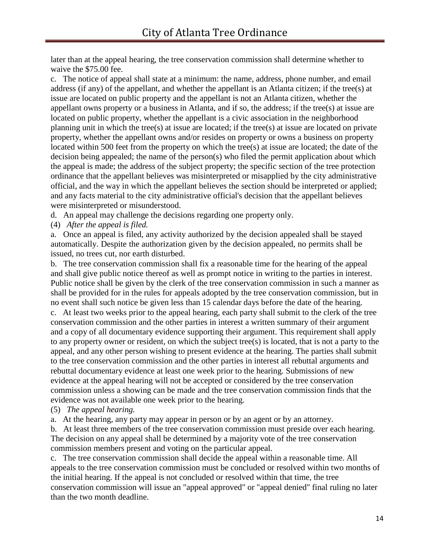later than at the appeal hearing, the tree conservation commission shall determine whether to waive the \$75.00 fee.

c. The notice of appeal shall state at a minimum: the name, address, phone number, and email address (if any) of the appellant, and whether the appellant is an Atlanta citizen; if the tree(s) at issue are located on public property and the appellant is not an Atlanta citizen, whether the appellant owns property or a business in Atlanta, and if so, the address; if the tree(s) at issue are located on public property, whether the appellant is a civic association in the neighborhood planning unit in which the tree(s) at issue are located; if the tree(s) at issue are located on private property, whether the appellant owns and/or resides on property or owns a business on property located within 500 feet from the property on which the tree(s) at issue are located; the date of the decision being appealed; the name of the person(s) who filed the permit application about which the appeal is made; the address of the subject property; the specific section of the tree protection ordinance that the appellant believes was misinterpreted or misapplied by the city administrative official, and the way in which the appellant believes the section should be interpreted or applied; and any facts material to the city administrative official's decision that the appellant believes were misinterpreted or misunderstood.

d. An appeal may challenge the decisions regarding one property only.

(4) *After the appeal is filed.*

a. Once an appeal is filed, any activity authorized by the decision appealed shall be stayed automatically. Despite the authorization given by the decision appealed, no permits shall be issued, no trees cut, nor earth disturbed.

b. The tree conservation commission shall fix a reasonable time for the hearing of the appeal and shall give public notice thereof as well as prompt notice in writing to the parties in interest. Public notice shall be given by the clerk of the tree conservation commission in such a manner as shall be provided for in the rules for appeals adopted by the tree conservation commission, but in no event shall such notice be given less than 15 calendar days before the date of the hearing. c. At least two weeks prior to the appeal hearing, each party shall submit to the clerk of the tree conservation commission and the other parties in interest a written summary of their argument and a copy of all documentary evidence supporting their argument. This requirement shall apply to any property owner or resident, on which the subject tree(s) is located, that is not a party to the appeal, and any other person wishing to present evidence at the hearing. The parties shall submit to the tree conservation commission and the other parties in interest all rebuttal arguments and rebuttal documentary evidence at least one week prior to the hearing. Submissions of new evidence at the appeal hearing will not be accepted or considered by the tree conservation commission unless a showing can be made and the tree conservation commission finds that the evidence was not available one week prior to the hearing.

(5) *The appeal hearing.*

a. At the hearing, any party may appear in person or by an agent or by an attorney.

b. At least three members of the tree conservation commission must preside over each hearing. The decision on any appeal shall be determined by a majority vote of the tree conservation commission members present and voting on the particular appeal.

c. The tree conservation commission shall decide the appeal within a reasonable time. All appeals to the tree conservation commission must be concluded or resolved within two months of the initial hearing. If the appeal is not concluded or resolved within that time, the tree conservation commission will issue an "appeal approved" or "appeal denied" final ruling no later than the two month deadline.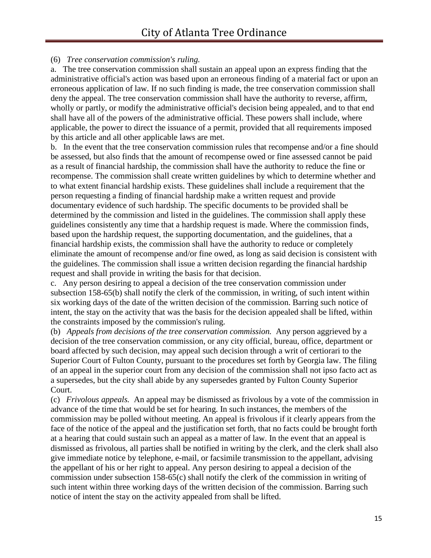## (6) *Tree conservation commission's ruling.*

a. The tree conservation commission shall sustain an appeal upon an express finding that the administrative official's action was based upon an erroneous finding of a material fact or upon an erroneous application of law. If no such finding is made, the tree conservation commission shall deny the appeal. The tree conservation commission shall have the authority to reverse, affirm, wholly or partly, or modify the administrative official's decision being appealed, and to that end shall have all of the powers of the administrative official. These powers shall include, where applicable, the power to direct the issuance of a permit, provided that all requirements imposed by this article and all other applicable laws are met.

b. In the event that the tree conservation commission rules that recompense and/or a fine should be assessed, but also finds that the amount of recompense owed or fine assessed cannot be paid as a result of financial hardship, the commission shall have the authority to reduce the fine or recompense. The commission shall create written guidelines by which to determine whether and to what extent financial hardship exists. These guidelines shall include a requirement that the person requesting a finding of financial hardship make a written request and provide documentary evidence of such hardship. The specific documents to be provided shall be determined by the commission and listed in the guidelines. The commission shall apply these guidelines consistently any time that a hardship request is made. Where the commission finds, based upon the hardship request, the supporting documentation, and the guidelines, that a financial hardship exists, the commission shall have the authority to reduce or completely eliminate the amount of recompense and/or fine owed, as long as said decision is consistent with the guidelines. The commission shall issue a written decision regarding the financial hardship request and shall provide in writing the basis for that decision.

c. Any person desiring to appeal a decision of the tree conservation commission under subsection 158-65(b) shall notify the clerk of the commission, in writing, of such intent within six working days of the date of the written decision of the commission. Barring such notice of intent, the stay on the activity that was the basis for the decision appealed shall be lifted, within the constraints imposed by the commission's ruling.

(b) *Appeals from decisions of the tree conservation commission.* Any person aggrieved by a decision of the tree conservation commission, or any city official, bureau, office, department or board affected by such decision, may appeal such decision through a writ of certiorari to the Superior Court of Fulton County, pursuant to the procedures set forth by Georgia law. The filing of an appeal in the superior court from any decision of the commission shall not ipso facto act as a supersedes, but the city shall abide by any supersedes granted by Fulton County Superior Court.

(c) *Frivolous appeals.* An appeal may be dismissed as frivolous by a vote of the commission in advance of the time that would be set for hearing. In such instances, the members of the commission may be polled without meeting. An appeal is frivolous if it clearly appears from the face of the notice of the appeal and the justification set forth, that no facts could be brought forth at a hearing that could sustain such an appeal as a matter of law. In the event that an appeal is dismissed as frivolous, all parties shall be notified in writing by the clerk, and the clerk shall also give immediate notice by telephone, e-mail, or facsimile transmission to the appellant, advising the appellant of his or her right to appeal. Any person desiring to appeal a decision of the commission under subsection 158-65(c) shall notify the clerk of the commission in writing of such intent within three working days of the written decision of the commission. Barring such notice of intent the stay on the activity appealed from shall be lifted.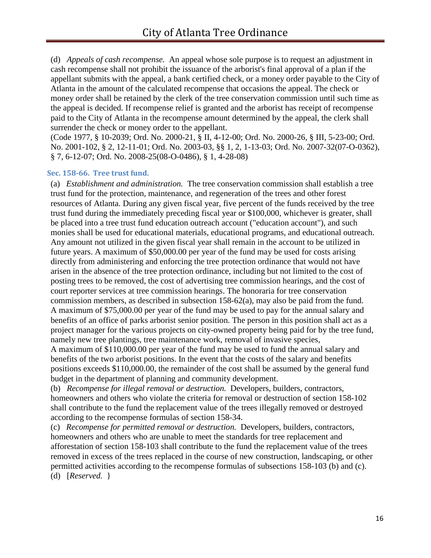(d) *Appeals of cash recompense.* An appeal whose sole purpose is to request an adjustment in cash recompense shall not prohibit the issuance of the arborist's final approval of a plan if the appellant submits with the appeal, a bank certified check, or a money order payable to the City of Atlanta in the amount of the calculated recompense that occasions the appeal. The check or money order shall be retained by the clerk of the tree conservation commission until such time as the appeal is decided. If recompense relief is granted and the arborist has receipt of recompense paid to the City of Atlanta in the recompense amount determined by the appeal, the clerk shall surrender the check or money order to the appellant.

(Code 1977, § 10-2039; Ord. No. 2000-21, § II, 4-12-00; Ord. No. 2000-26, § III, 5-23-00; Ord. No. 2001-102, § 2, 12-11-01; Ord. No. 2003-03, §§ 1, 2, 1-13-03; Ord. No. 2007-32(07-O-0362), § 7, 6-12-07; Ord. No. 2008-25(08-O-0486), § 1, 4-28-08)

#### <span id="page-15-0"></span>**Sec. 158-66. Tree trust fund.**

(a) *Establishment and administration.* The tree conservation commission shall establish a tree trust fund for the protection, maintenance, and regeneration of the trees and other forest resources of Atlanta. During any given fiscal year, five percent of the funds received by the tree trust fund during the immediately preceding fiscal year or \$100,000, whichever is greater, shall be placed into a tree trust fund education outreach account ("education account"), and such monies shall be used for educational materials, educational programs, and educational outreach. Any amount not utilized in the given fiscal year shall remain in the account to be utilized in future years. A maximum of \$50,000.00 per year of the fund may be used for costs arising directly from administering and enforcing the tree protection ordinance that would not have arisen in the absence of the tree protection ordinance, including but not limited to the cost of posting trees to be removed, the cost of advertising tree commission hearings, and the cost of court reporter services at tree commission hearings. The honoraria for tree conservation commission members, as described in subsection 158-62(a), may also be paid from the fund. A maximum of \$75,000.00 per year of the fund may be used to pay for the annual salary and benefits of an office of parks arborist senior position. The person in this position shall act as a project manager for the various projects on city-owned property being paid for by the tree fund, namely new tree plantings, tree maintenance work, removal of invasive species,

A maximum of \$110,000.00 per year of the fund may be used to fund the annual salary and benefits of the two arborist positions. In the event that the costs of the salary and benefits positions exceeds \$110,000.00, the remainder of the cost shall be assumed by the general fund budget in the department of planning and community development.

(b) *Recompense for illegal removal or destruction.* Developers, builders, contractors, homeowners and others who violate the criteria for removal or destruction of section 158-102 shall contribute to the fund the replacement value of the trees illegally removed or destroyed according to the recompense formulas of section 158-34.

(c) *Recompense for permitted removal or destruction.* Developers, builders, contractors, homeowners and others who are unable to meet the standards for tree replacement and afforestation of section 158-103 shall contribute to the fund the replacement value of the trees removed in excess of the trees replaced in the course of new construction, landscaping, or other permitted activities according to the recompense formulas of subsections 158-103 (b) and (c). (d) [*Reserved.* }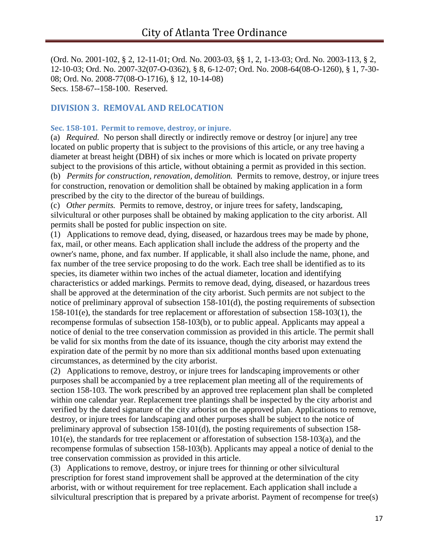(Ord. No. 2001-102, § 2, 12-11-01; Ord. No. 2003-03, §§ 1, 2, 1-13-03; Ord. No. 2003-113, § 2, 12-10-03; Ord. No. 2007-32(07-O-0362), § 8, 6-12-07; Ord. No. 2008-64(08-O-1260), § 1, 7-30- 08; Ord. No. 2008-77(08-O-1716), § 12, 10-14-08) Secs. 158-67--158-100. Reserved.

## <span id="page-16-1"></span><span id="page-16-0"></span>**DIVISION 3. REMOVAL AND RELOCATION**

## **Sec. 158-101. Permit to remove, destroy, or injure.**

(a) *Required.* No person shall directly or indirectly remove or destroy [or injure] any tree located on public property that is subject to the provisions of this article, or any tree having a diameter at breast height (DBH) of six inches or more which is located on private property subject to the provisions of this article, without obtaining a permit as provided in this section. (b) *Permits for construction, renovation, demolition.* Permits to remove, destroy, or injure trees for construction, renovation or demolition shall be obtained by making application in a form prescribed by the city to the director of the bureau of buildings.

(c) *Other permits.* Permits to remove, destroy, or injure trees for safety, landscaping, silvicultural or other purposes shall be obtained by making application to the city arborist. All permits shall be posted for public inspection on site.

(1) Applications to remove dead, dying, diseased, or hazardous trees may be made by phone, fax, mail, or other means. Each application shall include the address of the property and the owner's name, phone, and fax number. If applicable, it shall also include the name, phone, and fax number of the tree service proposing to do the work. Each tree shall be identified as to its species, its diameter within two inches of the actual diameter, location and identifying characteristics or added markings. Permits to remove dead, dying, diseased, or hazardous trees shall be approved at the determination of the city arborist. Such permits are not subject to the notice of preliminary approval of subsection 158-101(d), the posting requirements of subsection 158-101(e), the standards for tree replacement or afforestation of subsection 158-103(1), the recompense formulas of subsection 158-103(b), or to public appeal. Applicants may appeal a notice of denial to the tree conservation commission as provided in this article. The permit shall be valid for six months from the date of its issuance, though the city arborist may extend the expiration date of the permit by no more than six additional months based upon extenuating circumstances, as determined by the city arborist.

(2) Applications to remove, destroy, or injure trees for landscaping improvements or other purposes shall be accompanied by a tree replacement plan meeting all of the requirements of section 158-103. The work prescribed by an approved tree replacement plan shall be completed within one calendar year. Replacement tree plantings shall be inspected by the city arborist and verified by the dated signature of the city arborist on the approved plan. Applications to remove, destroy, or injure trees for landscaping and other purposes shall be subject to the notice of preliminary approval of subsection 158-101(d), the posting requirements of subsection 158- 101(e), the standards for tree replacement or afforestation of subsection 158-103(a), and the recompense formulas of subsection 158-103(b). Applicants may appeal a notice of denial to the tree conservation commission as provided in this article.

(3) Applications to remove, destroy, or injure trees for thinning or other silvicultural prescription for forest stand improvement shall be approved at the determination of the city arborist, with or without requirement for tree replacement. Each application shall include a silvicultural prescription that is prepared by a private arborist. Payment of recompense for tree(s)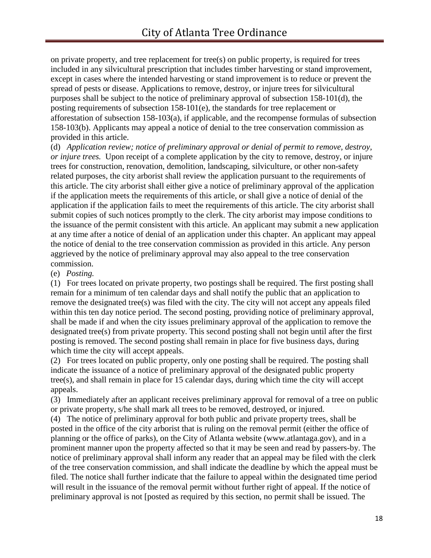on private property, and tree replacement for tree(s) on public property, is required for trees included in any silvicultural prescription that includes timber harvesting or stand improvement, except in cases where the intended harvesting or stand improvement is to reduce or prevent the spread of pests or disease. Applications to remove, destroy, or injure trees for silvicultural purposes shall be subject to the notice of preliminary approval of subsection 158-101(d), the posting requirements of subsection 158-101(e), the standards for tree replacement or afforestation of subsection 158-103(a), if applicable, and the recompense formulas of subsection 158-103(b). Applicants may appeal a notice of denial to the tree conservation commission as provided in this article.

(d) *Application review; notice of preliminary approval or denial of permit to remove, destroy, or injure trees.* Upon receipt of a complete application by the city to remove, destroy, or injure trees for construction, renovation, demolition, landscaping, silviculture, or other non-safety related purposes, the city arborist shall review the application pursuant to the requirements of this article. The city arborist shall either give a notice of preliminary approval of the application if the application meets the requirements of this article, or shall give a notice of denial of the application if the application fails to meet the requirements of this article. The city arborist shall submit copies of such notices promptly to the clerk. The city arborist may impose conditions to the issuance of the permit consistent with this article. An applicant may submit a new application at any time after a notice of denial of an application under this chapter. An applicant may appeal the notice of denial to the tree conservation commission as provided in this article. Any person aggrieved by the notice of preliminary approval may also appeal to the tree conservation commission.

(e) *Posting.*

(1) For trees located on private property, two postings shall be required. The first posting shall remain for a minimum of ten calendar days and shall notify the public that an application to remove the designated tree(s) was filed with the city. The city will not accept any appeals filed within this ten day notice period. The second posting, providing notice of preliminary approval, shall be made if and when the city issues preliminary approval of the application to remove the designated tree(s) from private property. This second posting shall not begin until after the first posting is removed. The second posting shall remain in place for five business days, during which time the city will accept appeals.

(2) For trees located on public property, only one posting shall be required. The posting shall indicate the issuance of a notice of preliminary approval of the designated public property tree(s), and shall remain in place for 15 calendar days, during which time the city will accept appeals.

(3) Immediately after an applicant receives preliminary approval for removal of a tree on public or private property, s/he shall mark all trees to be removed, destroyed, or injured.

(4) The notice of preliminary approval for both public and private property trees, shall be posted in the office of the city arborist that is ruling on the removal permit (either the office of planning or the office of parks), on the City of Atlanta website (www.atlantaga.gov), and in a prominent manner upon the property affected so that it may be seen and read by passers-by. The notice of preliminary approval shall inform any reader that an appeal may be filed with the clerk of the tree conservation commission, and shall indicate the deadline by which the appeal must be filed. The notice shall further indicate that the failure to appeal within the designated time period will result in the issuance of the removal permit without further right of appeal. If the notice of preliminary approval is not [posted as required by this section, no permit shall be issued. The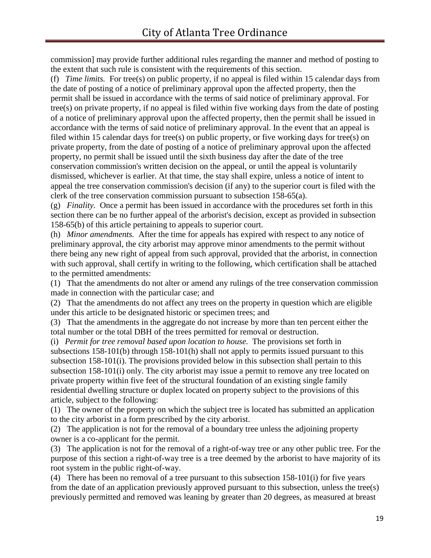commission] may provide further additional rules regarding the manner and method of posting to the extent that such rule is consistent with the requirements of this section.

(f) *Time limits.* For tree(s) on public property, if no appeal is filed within 15 calendar days from the date of posting of a notice of preliminary approval upon the affected property, then the permit shall be issued in accordance with the terms of said notice of preliminary approval. For tree(s) on private property, if no appeal is filed within five working days from the date of posting of a notice of preliminary approval upon the affected property, then the permit shall be issued in accordance with the terms of said notice of preliminary approval. In the event that an appeal is filed within 15 calendar days for tree(s) on public property, or five working days for tree(s) on private property, from the date of posting of a notice of preliminary approval upon the affected property, no permit shall be issued until the sixth business day after the date of the tree conservation commission's written decision on the appeal, or until the appeal is voluntarily dismissed, whichever is earlier. At that time, the stay shall expire, unless a notice of intent to appeal the tree conservation commission's decision (if any) to the superior court is filed with the clerk of the tree conservation commission pursuant to subsection 158-65(a).

(g) *Finality.* Once a permit has been issued in accordance with the procedures set forth in this section there can be no further appeal of the arborist's decision, except as provided in subsection 158-65(b) of this article pertaining to appeals to superior court.

(h) *Minor amendments.* After the time for appeals has expired with respect to any notice of preliminary approval, the city arborist may approve minor amendments to the permit without there being any new right of appeal from such approval, provided that the arborist, in connection with such approval, shall certify in writing to the following, which certification shall be attached to the permitted amendments:

(1) That the amendments do not alter or amend any rulings of the tree conservation commission made in connection with the particular case; and

(2) That the amendments do not affect any trees on the property in question which are eligible under this article to be designated historic or specimen trees; and

(3) That the amendments in the aggregate do not increase by more than ten percent either the total number or the total DBH of the trees permitted for removal or destruction.

(i) *Permit for tree removal based upon location to house.* The provisions set forth in subsections 158-101(b) through 158-101(h) shall not apply to permits issued pursuant to this subsection 158-101(i). The provisions provided below in this subsection shall pertain to this subsection 158-101(i) only. The city arborist may issue a permit to remove any tree located on private property within five feet of the structural foundation of an existing single family residential dwelling structure or duplex located on property subject to the provisions of this article, subject to the following:

(1) The owner of the property on which the subject tree is located has submitted an application to the city arborist in a form prescribed by the city arborist.

(2) The application is not for the removal of a boundary tree unless the adjoining property owner is a co-applicant for the permit.

(3) The application is not for the removal of a right-of-way tree or any other public tree. For the purpose of this section a right-of-way tree is a tree deemed by the arborist to have majority of its root system in the public right-of-way.

(4) There has been no removal of a tree pursuant to this subsection 158-101(i) for five years from the date of an application previously approved pursuant to this subsection, unless the tree(s) previously permitted and removed was leaning by greater than 20 degrees, as measured at breast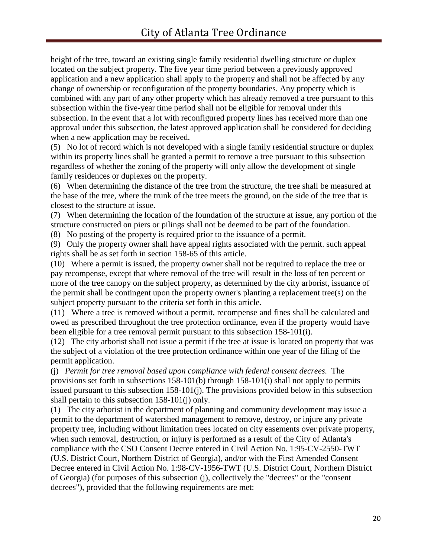height of the tree, toward an existing single family residential dwelling structure or duplex located on the subject property. The five year time period between a previously approved application and a new application shall apply to the property and shall not be affected by any change of ownership or reconfiguration of the property boundaries. Any property which is combined with any part of any other property which has already removed a tree pursuant to this subsection within the five-year time period shall not be eligible for removal under this subsection. In the event that a lot with reconfigured property lines has received more than one approval under this subsection, the latest approved application shall be considered for deciding when a new application may be received.

(5) No lot of record which is not developed with a single family residential structure or duplex within its property lines shall be granted a permit to remove a tree pursuant to this subsection regardless of whether the zoning of the property will only allow the development of single family residences or duplexes on the property.

(6) When determining the distance of the tree from the structure, the tree shall be measured at the base of the tree, where the trunk of the tree meets the ground, on the side of the tree that is closest to the structure at issue.

(7) When determining the location of the foundation of the structure at issue, any portion of the structure constructed on piers or pilings shall not be deemed to be part of the foundation.

(8) No posting of the property is required prior to the issuance of a permit.

(9) Only the property owner shall have appeal rights associated with the permit. such appeal rights shall be as set forth in section 158-65 of this article.

(10) Where a permit is issued, the property owner shall not be required to replace the tree or pay recompense, except that where removal of the tree will result in the loss of ten percent or more of the tree canopy on the subject property, as determined by the city arborist, issuance of the permit shall be contingent upon the property owner's planting a replacement tree(s) on the subject property pursuant to the criteria set forth in this article.

(11) Where a tree is removed without a permit, recompense and fines shall be calculated and owed as prescribed throughout the tree protection ordinance, even if the property would have been eligible for a tree removal permit pursuant to this subsection 158-101(i).

(12) The city arborist shall not issue a permit if the tree at issue is located on property that was the subject of a violation of the tree protection ordinance within one year of the filing of the permit application.

(j) *Permit for tree removal based upon compliance with federal consent decrees.* The provisions set forth in subsections 158-101(b) through 158-101(i) shall not apply to permits issued pursuant to this subsection 158-101(j). The provisions provided below in this subsection shall pertain to this subsection 158-101(j) only.

(1) The city arborist in the department of planning and community development may issue a permit to the department of watershed management to remove, destroy, or injure any private property tree, including without limitation trees located on city easements over private property, when such removal, destruction, or injury is performed as a result of the City of Atlanta's compliance with the CSO Consent Decree entered in Civil Action No. 1:95-CV-2550-TWT (U.S. District Court, Northern District of Georgia), and/or with the First Amended Consent Decree entered in Civil Action No. 1:98-CV-1956-TWT (U.S. District Court, Northern District of Georgia) (for purposes of this subsection (j), collectively the "decrees" or the "consent decrees"), provided that the following requirements are met: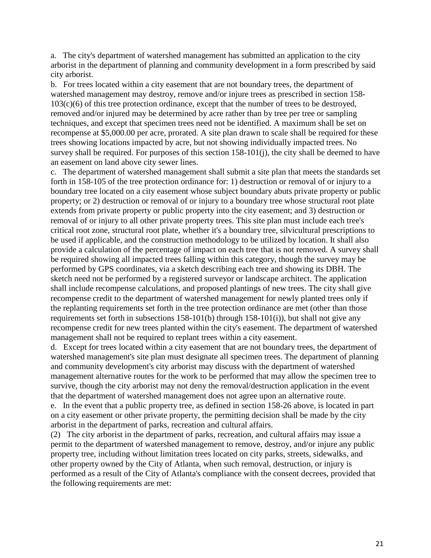a. The city's department of watershed management has submitted an application to the city arborist in the department of planning and community development in a form prescribed by said city arborist.

b. For trees located within a city easement that are not boundary trees, the department of watershed management may destroy, remove and/or injure trees as prescribed in section 158-  $103(c)(6)$  of this tree protection ordinance, except that the number of trees to be destroyed, removed and/or injured may be determined by acre rather than by tree per tree or sampling techniques, and except that specimen trees need not be identified. A maximum shall be set on recompense at \$5,000.00 per acre, prorated. A site plan drawn to scale shall be required for these trees showing locations impacted by acre, but not showing individually impacted trees. No survey shall be required. For purposes of this section 158-101(j), the city shall be deemed to have an easement on land above city sewer lines.

c. The department of watershed management shall submit a site plan that meets the standards set forth in 158-105 of the tree protection ordinance for: 1) destruction or removal of or injury to a boundary tree located on a city easement whose subject boundary abuts private property or public property; or 2) destruction or removal of or injury to a boundary tree whose structural root plate extends from private property or public property into the city easement; and 3) destruction or removal of or injury to all other private property trees. This site plan must include each tree's critical root zone, structural root plate, whether it's a boundary tree, silvicultural prescriptions to be used if applicable, and the construction methodology to be utilized by location. It shall also provide a calculation of the percentage of impact on each tree that is not removed. A survey shall be required showing all impacted trees falling within this category, though the survey may be performed by GPS coordinates, via a sketch describing each tree and showing its DBH. The sketch need not be performed by a registered surveyor or landscape architect. The application shall include recompense calculations, and proposed plantings of new trees. The city shall give recompense credit to the department of watershed management for newly planted trees only if the replanting requirements set forth in the tree protection ordinance are met (other than those requirements set forth in subsections  $158-101(b)$  through  $158-101(i)$ , but shall not give any recompense credit for new trees planted within the city's easement. The department of watershed management shall not be required to replant trees within a city easement.

d. Except for trees located within a city easement that are not boundary trees, the department of watershed management's site plan must designate all specimen trees. The department of planning and community development's city arborist may discuss with the department of watershed management alternative routes for the work to be performed that may allow the specimen tree to survive, though the city arborist may not deny the removal/destruction application in the event that the department of watershed management does not agree upon an alternative route.

e. In the event that a public property tree, as defined in section 158-26 above, is located in part on a city easement or other private property, the permitting decision shall be made by the city arborist in the department of parks, recreation and cultural affairs.

(2) The city arborist in the department of parks, recreation, and cultural affairs may issue a permit to the department of watershed management to remove, destroy, and/or injure any public property tree, including without limitation trees located on city parks, streets, sidewalks, and other property owned by the City of Atlanta, when such removal, destruction, or injury is performed as a result of the City of Atlanta's compliance with the consent decrees, provided that the following requirements are met: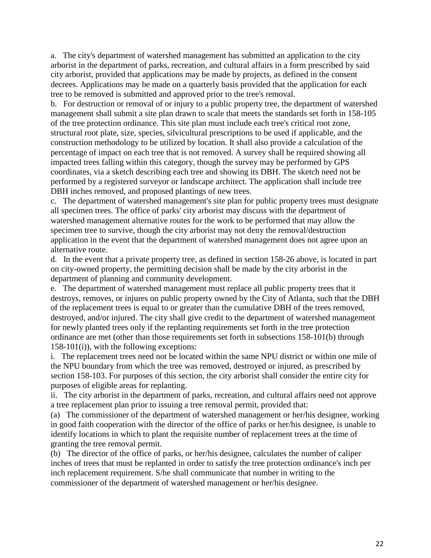a. The city's department of watershed management has submitted an application to the city arborist in the department of parks, recreation, and cultural affairs in a form prescribed by said city arborist, provided that applications may be made by projects, as defined in the consent decrees. Applications may be made on a quarterly basis provided that the application for each tree to be removed is submitted and approved prior to the tree's removal.

b. For destruction or removal of or injury to a public property tree, the department of watershed management shall submit a site plan drawn to scale that meets the standards set forth in 158-105 of the tree protection ordinance. This site plan must include each tree's critical root zone, structural root plate, size, species, silvicultural prescriptions to be used if applicable, and the construction methodology to be utilized by location. It shall also provide a calculation of the percentage of impact on each tree that is not removed. A survey shall be required showing all impacted trees falling within this category, though the survey may be performed by GPS coordinates, via a sketch describing each tree and showing its DBH. The sketch need not be performed by a registered surveyor or landscape architect. The application shall include tree DBH inches removed, and proposed plantings of new trees.

c. The department of watershed management's site plan for public property trees must designate all specimen trees. The office of parks' city arborist may discuss with the department of watershed management alternative routes for the work to be performed that may allow the specimen tree to survive, though the city arborist may not deny the removal/destruction application in the event that the department of watershed management does not agree upon an alternative route.

d. In the event that a private property tree, as defined in section 158-26 above, is located in part on city-owned property, the permitting decision shall be made by the city arborist in the department of planning and community development.

e. The department of watershed management must replace all public property trees that it destroys, removes, or injures on public property owned by the City of Atlanta, such that the DBH of the replacement trees is equal to or greater than the cumulative DBH of the trees removed, destroyed, and/or injured. The city shall give credit to the department of watershed management for newly planted trees only if the replanting requirements set forth in the tree protection ordinance are met (other than those requirements set forth in subsections 158-101(b) through 158-101(i)), with the following exceptions:

i. The replacement trees need not be located within the same NPU district or within one mile of the NPU boundary from which the tree was removed, destroyed or injured, as prescribed by section 158-103. For purposes of this section, the city arborist shall consider the entire city for purposes of eligible areas for replanting.

ii. The city arborist in the department of parks, recreation, and cultural affairs need not approve a tree replacement plan prior to issuing a tree removal permit, provided that:

(a) The commissioner of the department of watershed management or her/his designee, working in good faith cooperation with the director of the office of parks or her/his designee, is unable to identify locations in which to plant the requisite number of replacement trees at the time of granting the tree removal permit.

(b) The director of the office of parks, or her/his designee, calculates the number of caliper inches of trees that must be replanted in order to satisfy the tree protection ordinance's inch per inch replacement requirement. S/he shall communicate that number in writing to the commissioner of the department of watershed management or her/his designee.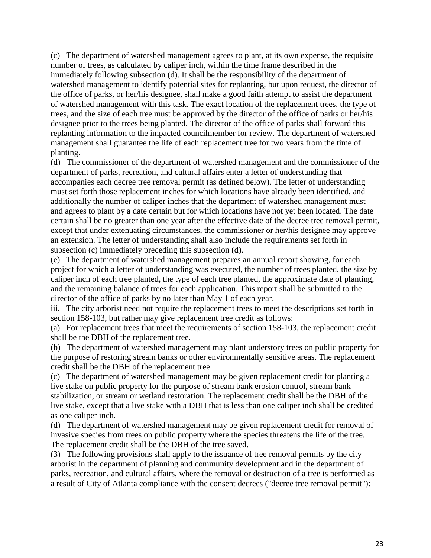(c) The department of watershed management agrees to plant, at its own expense, the requisite number of trees, as calculated by caliper inch, within the time frame described in the immediately following subsection (d). It shall be the responsibility of the department of watershed management to identify potential sites for replanting, but upon request, the director of the office of parks, or her/his designee, shall make a good faith attempt to assist the department of watershed management with this task. The exact location of the replacement trees, the type of trees, and the size of each tree must be approved by the director of the office of parks or her/his designee prior to the trees being planted. The director of the office of parks shall forward this replanting information to the impacted councilmember for review. The department of watershed management shall guarantee the life of each replacement tree for two years from the time of planting.

(d) The commissioner of the department of watershed management and the commissioner of the department of parks, recreation, and cultural affairs enter a letter of understanding that accompanies each decree tree removal permit (as defined below). The letter of understanding must set forth those replacement inches for which locations have already been identified, and additionally the number of caliper inches that the department of watershed management must and agrees to plant by a date certain but for which locations have not yet been located. The date certain shall be no greater than one year after the effective date of the decree tree removal permit, except that under extenuating circumstances, the commissioner or her/his designee may approve an extension. The letter of understanding shall also include the requirements set forth in subsection (c) immediately preceding this subsection (d).

(e) The department of watershed management prepares an annual report showing, for each project for which a letter of understanding was executed, the number of trees planted, the size by caliper inch of each tree planted, the type of each tree planted, the approximate date of planting, and the remaining balance of trees for each application. This report shall be submitted to the director of the office of parks by no later than May 1 of each year.

iii. The city arborist need not require the replacement trees to meet the descriptions set forth in section 158-103, but rather may give replacement tree credit as follows:

(a) For replacement trees that meet the requirements of section 158-103, the replacement credit shall be the DBH of the replacement tree.

(b) The department of watershed management may plant understory trees on public property for the purpose of restoring stream banks or other environmentally sensitive areas. The replacement credit shall be the DBH of the replacement tree.

(c) The department of watershed management may be given replacement credit for planting a live stake on public property for the purpose of stream bank erosion control, stream bank stabilization, or stream or wetland restoration. The replacement credit shall be the DBH of the live stake, except that a live stake with a DBH that is less than one caliper inch shall be credited as one caliper inch.

(d) The department of watershed management may be given replacement credit for removal of invasive species from trees on public property where the species threatens the life of the tree. The replacement credit shall be the DBH of the tree saved.

(3) The following provisions shall apply to the issuance of tree removal permits by the city arborist in the department of planning and community development and in the department of parks, recreation, and cultural affairs, where the removal or destruction of a tree is performed as a result of City of Atlanta compliance with the consent decrees ("decree tree removal permit"):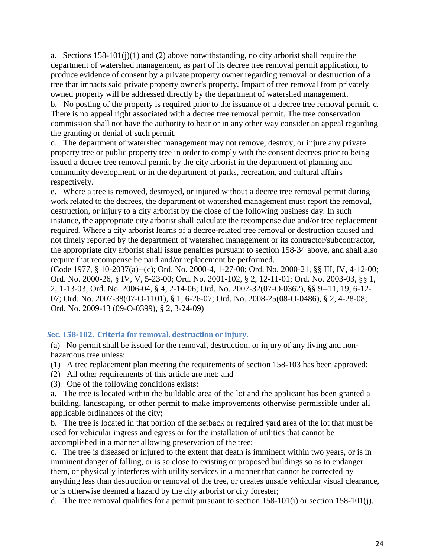a. Sections  $158-101(i)(1)$  and (2) above notwithstanding, no city arborist shall require the department of watershed management, as part of its decree tree removal permit application, to produce evidence of consent by a private property owner regarding removal or destruction of a tree that impacts said private property owner's property. Impact of tree removal from privately owned property will be addressed directly by the department of watershed management.

b. No posting of the property is required prior to the issuance of a decree tree removal permit. c. There is no appeal right associated with a decree tree removal permit. The tree conservation commission shall not have the authority to hear or in any other way consider an appeal regarding the granting or denial of such permit.

d. The department of watershed management may not remove, destroy, or injure any private property tree or public property tree in order to comply with the consent decrees prior to being issued a decree tree removal permit by the city arborist in the department of planning and community development, or in the department of parks, recreation, and cultural affairs respectively.

e. Where a tree is removed, destroyed, or injured without a decree tree removal permit during work related to the decrees, the department of watershed management must report the removal, destruction, or injury to a city arborist by the close of the following business day. In such instance, the appropriate city arborist shall calculate the recompense due and/or tree replacement required. Where a city arborist learns of a decree-related tree removal or destruction caused and not timely reported by the department of watershed management or its contractor/subcontractor, the appropriate city arborist shall issue penalties pursuant to section 158-34 above, and shall also require that recompense be paid and/or replacement be performed.

(Code 1977, § 10-2037(a)--(c); Ord. No. 2000-4, 1-27-00; Ord. No. 2000-21, §§ III, IV, 4-12-00; Ord. No. 2000-26, § IV, V, 5-23-00; Ord. No. 2001-102, § 2, 12-11-01; Ord. No. 2003-03, §§ 1, 2, 1-13-03; Ord. No. 2006-04, § 4, 2-14-06; Ord. No. 2007-32(07-O-0362), §§ 9--11, 19, 6-12- 07; Ord. No. 2007-38(07-O-1101), § 1, 6-26-07; Ord. No. 2008-25(08-O-0486), § 2, 4-28-08; Ord. No. 2009-13 (09-O-0399), § 2, 3-24-09)

## <span id="page-23-0"></span>**Sec. 158-102. Criteria for removal, destruction or injury.**

(a) No permit shall be issued for the removal, destruction, or injury of any living and nonhazardous tree unless:

(1) A tree replacement plan meeting the requirements of section 158-103 has been approved;

- (2) All other requirements of this article are met; and
- (3) One of the following conditions exists:

a. The tree is located within the buildable area of the lot and the applicant has been granted a building, landscaping, or other permit to make improvements otherwise permissible under all applicable ordinances of the city;

b. The tree is located in that portion of the setback or required yard area of the lot that must be used for vehicular ingress and egress or for the installation of utilities that cannot be accomplished in a manner allowing preservation of the tree;

c. The tree is diseased or injured to the extent that death is imminent within two years, or is in imminent danger of falling, or is so close to existing or proposed buildings so as to endanger them, or physically interferes with utility services in a manner that cannot be corrected by anything less than destruction or removal of the tree, or creates unsafe vehicular visual clearance, or is otherwise deemed a hazard by the city arborist or city forester;

d. The tree removal qualifies for a permit pursuant to section 158-101(i) or section 158-101(j).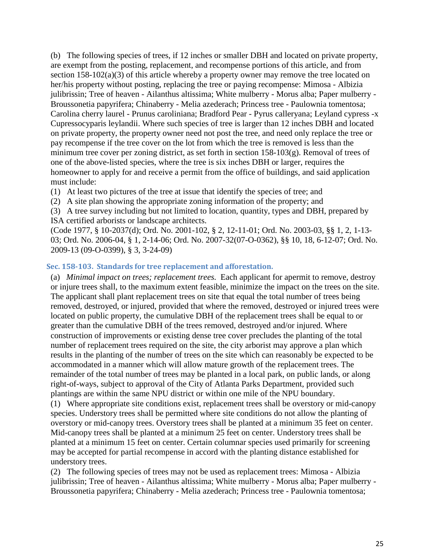(b) The following species of trees, if 12 inches or smaller DBH and located on private property, are exempt from the posting, replacement, and recompense portions of this article, and from section 158-102(a)(3) of this article whereby a property owner may remove the tree located on her/his property without posting, replacing the tree or paying recompense: Mimosa - Albizia julibrissin; Tree of heaven - Ailanthus altissima; White mulberry - Morus alba; Paper mulberry - Broussonetia papyrifera; Chinaberry - Melia azederach; Princess tree - Paulownia tomentosa; Carolina cherry laurel - Prunus caroliniana; Bradford Pear - Pyrus calleryana; Leyland cypress -x Cupressocyparis leylandii. Where such species of tree is larger than 12 inches DBH and located on private property, the property owner need not post the tree, and need only replace the tree or pay recompense if the tree cover on the lot from which the tree is removed is less than the minimum tree cover per zoning district, as set forth in section 158-103(g). Removal of trees of one of the above-listed species, where the tree is six inches DBH or larger, requires the homeowner to apply for and receive a permit from the office of buildings, and said application must include:

- (1) At least two pictures of the tree at issue that identify the species of tree; and
- (2) A site plan showing the appropriate zoning information of the property; and
- (3) A tree survey including but not limited to location, quantity, types and DBH, prepared by ISA certified arborists or landscape architects.

(Code 1977, § 10-2037(d); Ord. No. 2001-102, § 2, 12-11-01; Ord. No. 2003-03, §§ 1, 2, 1-13- 03; Ord. No. 2006-04, § 1, 2-14-06; Ord. No. 2007-32(07-O-0362), §§ 10, 18, 6-12-07; Ord. No. 2009-13 (09-O-0399), § 3, 3-24-09)

## <span id="page-24-0"></span>**Sec. 158-103. Standards for tree replacement and afforestation.**

(a) *Minimal impact on trees; replacement trees.* Each applicant for apermit to remove, destroy or injure trees shall, to the maximum extent feasible, minimize the impact on the trees on the site. The applicant shall plant replacement trees on site that equal the total number of trees being removed, destroyed, or injured, provided that where the removed, destroyed or injured trees were located on public property, the cumulative DBH of the replacement trees shall be equal to or greater than the cumulative DBH of the trees removed, destroyed and/or injured. Where construction of improvements or existing dense tree cover precludes the planting of the total number of replacement trees required on the site, the city arborist may approve a plan which results in the planting of the number of trees on the site which can reasonably be expected to be accommodated in a manner which will allow mature growth of the replacement trees. The remainder of the total number of trees may be planted in a local park, on public lands, or along right-of-ways, subject to approval of the City of Atlanta Parks Department, provided such plantings are within the same NPU district or within one mile of the NPU boundary. (1) Where appropriate site conditions exist, replacement trees shall be overstory or mid-canopy species. Understory trees shall be permitted where site conditions do not allow the planting of

overstory or mid-canopy trees. Overstory trees shall be planted at a minimum 35 feet on center. Mid-canopy trees shall be planted at a minimum 25 feet on center. Understory trees shall be planted at a minimum 15 feet on center. Certain columnar species used primarily for screening may be accepted for partial recompense in accord with the planting distance established for understory trees.

(2) The following species of trees may not be used as replacement trees: Mimosa - Albizia julibrissin; Tree of heaven - Ailanthus altissima; White mulberry - Morus alba; Paper mulberry - Broussonetia papyrifera; Chinaberry - Melia azederach; Princess tree - Paulownia tomentosa;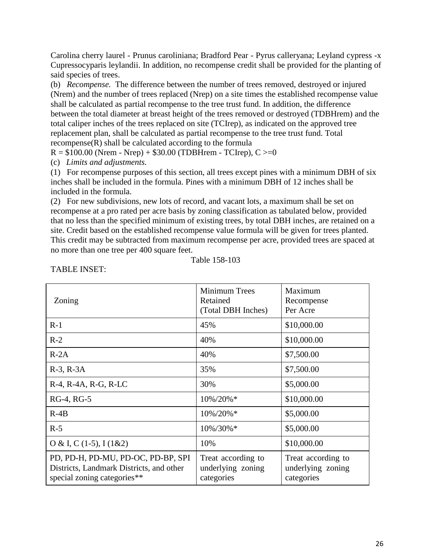Carolina cherry laurel - Prunus caroliniana; Bradford Pear - Pyrus calleryana; Leyland cypress -x Cupressocyparis leylandii. In addition, no recompense credit shall be provided for the planting of said species of trees.

(b) *Recompense.* The difference between the number of trees removed, destroyed or injured (Nrem) and the number of trees replaced (Nrep) on a site times the established recompense value shall be calculated as partial recompense to the tree trust fund. In addition, the difference between the total diameter at breast height of the trees removed or destroyed (TDBHrem) and the total caliper inches of the trees replaced on site (TCIrep), as indicated on the approved tree replacement plan, shall be calculated as partial recompense to the tree trust fund. Total recompense(R) shall be calculated according to the formula

 $R = $100.00$  (Nrem - Nrep) + \$30.00 (TDBHrem - TCIrep),  $C \ge 0$ 

(c) *Limits and adjustments.*

(1) For recompense purposes of this section, all trees except pines with a minimum DBH of six inches shall be included in the formula. Pines with a minimum DBH of 12 inches shall be included in the formula.

(2) For new subdivisions, new lots of record, and vacant lots, a maximum shall be set on recompense at a pro rated per acre basis by zoning classification as tabulated below, provided that no less than the specified minimum of existing trees, by total DBH inches, are retained on a site. Credit based on the established recompense value formula will be given for trees planted. This credit may be subtracted from maximum recompense per acre, provided trees are spaced at no more than one tree per 400 square feet.

|  | Table 158-103 |
|--|---------------|
|--|---------------|

| Zoning                                                                                                        | Minimum Trees<br>Retained<br>(Total DBH Inches)       | Maximum<br>Recompense<br>Per Acre                     |
|---------------------------------------------------------------------------------------------------------------|-------------------------------------------------------|-------------------------------------------------------|
| $R-1$                                                                                                         | 45%                                                   | \$10,000.00                                           |
| $R-2$                                                                                                         | 40%                                                   | \$10,000.00                                           |
| $R-2A$                                                                                                        | 40%                                                   | \$7,500.00                                            |
| $R-3$ , $R-3A$                                                                                                | 35%                                                   | \$7,500.00                                            |
| R-4, R-4A, R-G, R-LC                                                                                          | 30%                                                   | \$5,000.00                                            |
| RG-4, RG-5                                                                                                    | 10%/20%*                                              | \$10,000.00                                           |
| $R-4B$                                                                                                        | 10%/20%*                                              | \$5,000.00                                            |
| $R-5$                                                                                                         | 10%/30%*                                              | \$5,000.00                                            |
| O & I, C (1-5), I (1&2)                                                                                       | 10%                                                   | \$10,000.00                                           |
| PD, PD-H, PD-MU, PD-OC, PD-BP, SPI<br>Districts, Landmark Districts, and other<br>special zoning categories** | Treat according to<br>underlying zoning<br>categories | Treat according to<br>underlying zoning<br>categories |

TABLE INSET: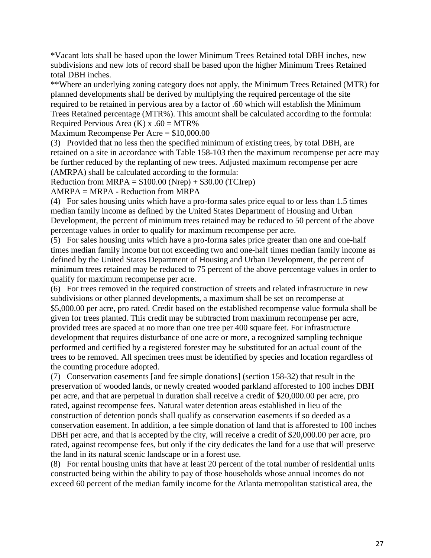\*Vacant lots shall be based upon the lower Minimum Trees Retained total DBH inches, new subdivisions and new lots of record shall be based upon the higher Minimum Trees Retained total DBH inches.

\*\*Where an underlying zoning category does not apply, the Minimum Trees Retained (MTR) for planned developments shall be derived by multiplying the required percentage of the site required to be retained in pervious area by a factor of .60 which will establish the Minimum Trees Retained percentage (MTR%). This amount shall be calculated according to the formula: Required Pervious Area  $(K)$  x .60 = MTR%

Maximum Recompense Per Acre = \$10,000.00

(3) Provided that no less then the specified minimum of existing trees, by total DBH, are retained on a site in accordance with Table 158-103 then the maximum recompense per acre may be further reduced by the replanting of new trees. Adjusted maximum recompense per acre (AMRPA) shall be calculated according to the formula:

Reduction from MRPA =  $$100.00$  (Nrep) +  $$30.00$  (TCIrep)

AMRPA = MRPA - Reduction from MRPA

(4) For sales housing units which have a pro-forma sales price equal to or less than 1.5 times median family income as defined by the United States Department of Housing and Urban Development, the percent of minimum trees retained may be reduced to 50 percent of the above percentage values in order to qualify for maximum recompense per acre.

(5) For sales housing units which have a pro-forma sales price greater than one and one-half times median family income but not exceeding two and one-half times median family income as defined by the United States Department of Housing and Urban Development, the percent of minimum trees retained may be reduced to 75 percent of the above percentage values in order to qualify for maximum recompense per acre.

(6) For trees removed in the required construction of streets and related infrastructure in new subdivisions or other planned developments, a maximum shall be set on recompense at \$5,000.00 per acre, pro rated. Credit based on the established recompense value formula shall be given for trees planted. This credit may be subtracted from maximum recompense per acre, provided trees are spaced at no more than one tree per 400 square feet. For infrastructure development that requires disturbance of one acre or more, a recognized sampling technique performed and certified by a registered forester may be substituted for an actual count of the trees to be removed. All specimen trees must be identified by species and location regardless of the counting procedure adopted.

(7) Conservation easements [and fee simple donations] (section 158-32) that result in the preservation of wooded lands, or newly created wooded parkland afforested to 100 inches DBH per acre, and that are perpetual in duration shall receive a credit of \$20,000.00 per acre, pro rated, against recompense fees. Natural water detention areas established in lieu of the construction of detention ponds shall qualify as conservation easements if so deeded as a conservation easement. In addition, a fee simple donation of land that is afforested to 100 inches DBH per acre, and that is accepted by the city, will receive a credit of \$20,000.00 per acre, pro rated, against recompense fees, but only if the city dedicates the land for a use that will preserve the land in its natural scenic landscape or in a forest use.

(8) For rental housing units that have at least 20 percent of the total number of residential units constructed being within the ability to pay of those households whose annual incomes do not exceed 60 percent of the median family income for the Atlanta metropolitan statistical area, the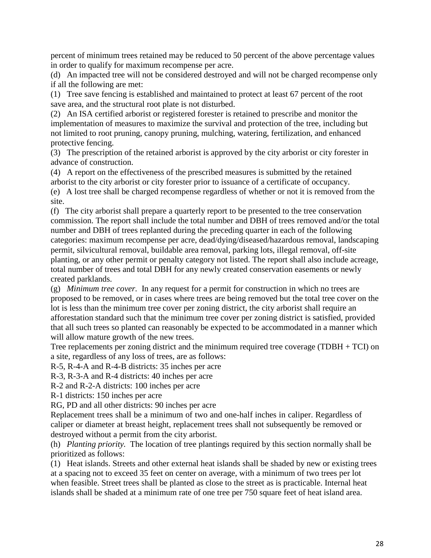percent of minimum trees retained may be reduced to 50 percent of the above percentage values in order to qualify for maximum recompense per acre.

(d) An impacted tree will not be considered destroyed and will not be charged recompense only if all the following are met:

(1) Tree save fencing is established and maintained to protect at least 67 percent of the root save area, and the structural root plate is not disturbed.

(2) An ISA certified arborist or registered forester is retained to prescribe and monitor the implementation of measures to maximize the survival and protection of the tree, including but not limited to root pruning, canopy pruning, mulching, watering, fertilization, and enhanced protective fencing.

(3) The prescription of the retained arborist is approved by the city arborist or city forester in advance of construction.

(4) A report on the effectiveness of the prescribed measures is submitted by the retained arborist to the city arborist or city forester prior to issuance of a certificate of occupancy.

(e) A lost tree shall be charged recompense regardless of whether or not it is removed from the site.

(f) The city arborist shall prepare a quarterly report to be presented to the tree conservation commission. The report shall include the total number and DBH of trees removed and/or the total number and DBH of trees replanted during the preceding quarter in each of the following categories: maximum recompense per acre, dead/dying/diseased/hazardous removal, landscaping permit, silvicultural removal, buildable area removal, parking lots, illegal removal, off-site planting, or any other permit or penalty category not listed. The report shall also include acreage, total number of trees and total DBH for any newly created conservation easements or newly created parklands.

(g) *Minimum tree cover.* In any request for a permit for construction in which no trees are proposed to be removed, or in cases where trees are being removed but the total tree cover on the lot is less than the minimum tree cover per zoning district, the city arborist shall require an afforestation standard such that the minimum tree cover per zoning district is satisfied, provided that all such trees so planted can reasonably be expected to be accommodated in a manner which will allow mature growth of the new trees.

Tree replacements per zoning district and the minimum required tree coverage (TDBH + TCI) on a site, regardless of any loss of trees, are as follows:

R-5, R-4-A and R-4-B districts: 35 inches per acre

R-3, R-3-A and R-4 districts: 40 inches per acre

R-2 and R-2-A districts: 100 inches per acre

R-1 districts: 150 inches per acre

RG, PD and all other districts: 90 inches per acre

Replacement trees shall be a minimum of two and one-half inches in caliper. Regardless of caliper or diameter at breast height, replacement trees shall not subsequently be removed or destroyed without a permit from the city arborist.

(h) *Planting priority.* The location of tree plantings required by this section normally shall be prioritized as follows:

(1) Heat islands. Streets and other external heat islands shall be shaded by new or existing trees at a spacing not to exceed 35 feet on center on average, with a minimum of two trees per lot when feasible. Street trees shall be planted as close to the street as is practicable. Internal heat islands shall be shaded at a minimum rate of one tree per 750 square feet of heat island area.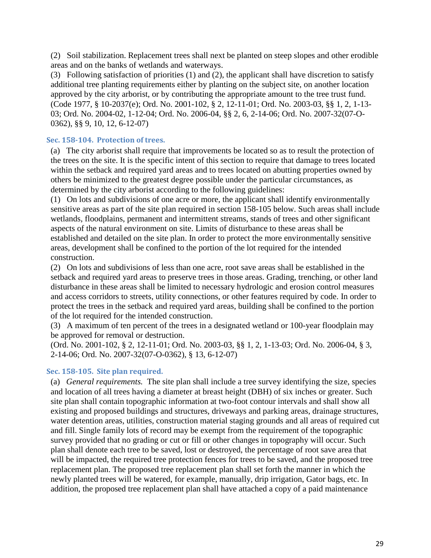(2) Soil stabilization. Replacement trees shall next be planted on steep slopes and other erodible areas and on the banks of wetlands and waterways.

(3) Following satisfaction of priorities (1) and (2), the applicant shall have discretion to satisfy additional tree planting requirements either by planting on the subject site, on another location approved by the city arborist, or by contributing the appropriate amount to the tree trust fund. (Code 1977, § 10-2037(e); Ord. No. 2001-102, § 2, 12-11-01; Ord. No. 2003-03, §§ 1, 2, 1-13- 03; Ord. No. 2004-02, 1-12-04; Ord. No. 2006-04, §§ 2, 6, 2-14-06; Ord. No. 2007-32(07-O-0362), §§ 9, 10, 12, 6-12-07)

## <span id="page-28-0"></span>**Sec. 158-104. Protection of trees.**

(a) The city arborist shall require that improvements be located so as to result the protection of the trees on the site. It is the specific intent of this section to require that damage to trees located within the setback and required yard areas and to trees located on abutting properties owned by others be minimized to the greatest degree possible under the particular circumstances, as determined by the city arborist according to the following guidelines:

(1) On lots and subdivisions of one acre or more, the applicant shall identify environmentally sensitive areas as part of the site plan required in section 158-105 below. Such areas shall include wetlands, floodplains, permanent and intermittent streams, stands of trees and other significant aspects of the natural environment on site. Limits of disturbance to these areas shall be established and detailed on the site plan. In order to protect the more environmentally sensitive areas, development shall be confined to the portion of the lot required for the intended construction.

(2) On lots and subdivisions of less than one acre, root save areas shall be established in the setback and required yard areas to preserve trees in those areas. Grading, trenching, or other land disturbance in these areas shall be limited to necessary hydrologic and erosion control measures and access corridors to streets, utility connections, or other features required by code. In order to protect the trees in the setback and required yard areas, building shall be confined to the portion of the lot required for the intended construction.

(3) A maximum of ten percent of the trees in a designated wetland or 100-year floodplain may be approved for removal or destruction.

(Ord. No. 2001-102, § 2, 12-11-01; Ord. No. 2003-03, §§ 1, 2, 1-13-03; Ord. No. 2006-04, § 3, 2-14-06; Ord. No. 2007-32(07-O-0362), § 13, 6-12-07)

## <span id="page-28-1"></span>**Sec. 158-105. Site plan required.**

(a) *General requirements.* The site plan shall include a tree survey identifying the size, species and location of all trees having a diameter at breast height (DBH) of six inches or greater. Such site plan shall contain topographic information at two-foot contour intervals and shall show all existing and proposed buildings and structures, driveways and parking areas, drainage structures, water detention areas, utilities, construction material staging grounds and all areas of required cut and fill. Single family lots of record may be exempt from the requirement of the topographic survey provided that no grading or cut or fill or other changes in topography will occur. Such plan shall denote each tree to be saved, lost or destroyed, the percentage of root save area that will be impacted, the required tree protection fences for trees to be saved, and the proposed tree replacement plan. The proposed tree replacement plan shall set forth the manner in which the newly planted trees will be watered, for example, manually, drip irrigation, Gator bags, etc. In addition, the proposed tree replacement plan shall have attached a copy of a paid maintenance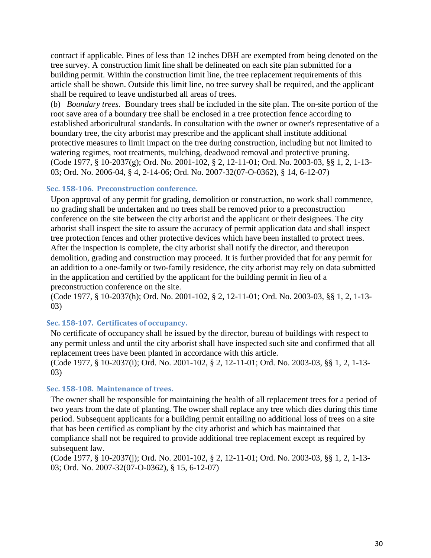contract if applicable. Pines of less than 12 inches DBH are exempted from being denoted on the tree survey. A construction limit line shall be delineated on each site plan submitted for a building permit. Within the construction limit line, the tree replacement requirements of this article shall be shown. Outside this limit line, no tree survey shall be required, and the applicant shall be required to leave undisturbed all areas of trees.

(b) *Boundary trees.* Boundary trees shall be included in the site plan. The on-site portion of the root save area of a boundary tree shall be enclosed in a tree protection fence according to established arboricultural standards. In consultation with the owner or owner's representative of a boundary tree, the city arborist may prescribe and the applicant shall institute additional protective measures to limit impact on the tree during construction, including but not limited to watering regimes, root treatments, mulching, deadwood removal and protective pruning. (Code 1977, § 10-2037(g); Ord. No. 2001-102, § 2, 12-11-01; Ord. No. 2003-03, §§ 1, 2, 1-13- 03; Ord. No. 2006-04, § 4, 2-14-06; Ord. No. 2007-32(07-O-0362), § 14, 6-12-07)

## <span id="page-29-0"></span>**Sec. 158-106. Preconstruction conference.**

Upon approval of any permit for grading, demolition or construction, no work shall commence, no grading shall be undertaken and no trees shall be removed prior to a preconstruction conference on the site between the city arborist and the applicant or their designees. The city arborist shall inspect the site to assure the accuracy of permit application data and shall inspect tree protection fences and other protective devices which have been installed to protect trees. After the inspection is complete, the city arborist shall notify the director, and thereupon demolition, grading and construction may proceed. It is further provided that for any permit for an addition to a one-family or two-family residence, the city arborist may rely on data submitted in the application and certified by the applicant for the building permit in lieu of a preconstruction conference on the site.

(Code 1977, § 10-2037(h); Ord. No. 2001-102, § 2, 12-11-01; Ord. No. 2003-03, §§ 1, 2, 1-13- 03)

## <span id="page-29-1"></span>**Sec. 158-107. Certificates of occupancy.**

No certificate of occupancy shall be issued by the director, bureau of buildings with respect to any permit unless and until the city arborist shall have inspected such site and confirmed that all replacement trees have been planted in accordance with this article.

(Code 1977, § 10-2037(i); Ord. No. 2001-102, § 2, 12-11-01; Ord. No. 2003-03, §§ 1, 2, 1-13- 03)

## <span id="page-29-2"></span>**Sec. 158-108. Maintenance of trees.**

The owner shall be responsible for maintaining the health of all replacement trees for a period of two years from the date of planting. The owner shall replace any tree which dies during this time period. Subsequent applicants for a building permit entailing no additional loss of trees on a site that has been certified as compliant by the city arborist and which has maintained that compliance shall not be required to provide additional tree replacement except as required by subsequent law.

(Code 1977, § 10-2037(j); Ord. No. 2001-102, § 2, 12-11-01; Ord. No. 2003-03, §§ 1, 2, 1-13- 03; Ord. No. 2007-32(07-O-0362), § 15, 6-12-07)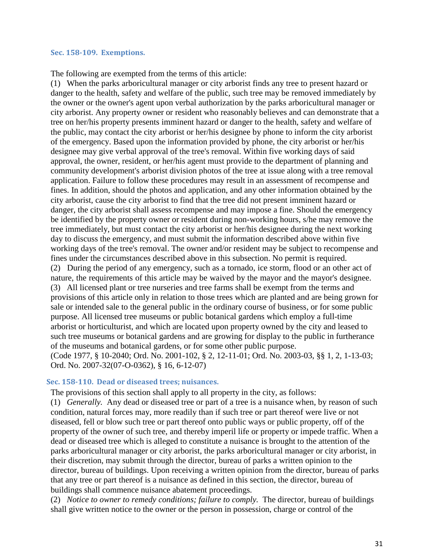#### <span id="page-30-0"></span>**Sec. 158-109. Exemptions.**

The following are exempted from the terms of this article:

(1) When the parks arboricultural manager or city arborist finds any tree to present hazard or danger to the health, safety and welfare of the public, such tree may be removed immediately by the owner or the owner's agent upon verbal authorization by the parks arboricultural manager or city arborist. Any property owner or resident who reasonably believes and can demonstrate that a tree on her/his property presents imminent hazard or danger to the health, safety and welfare of the public, may contact the city arborist or her/his designee by phone to inform the city arborist of the emergency. Based upon the information provided by phone, the city arborist or her/his designee may give verbal approval of the tree's removal. Within five working days of said approval, the owner, resident, or her/his agent must provide to the department of planning and community development's arborist division photos of the tree at issue along with a tree removal application. Failure to follow these procedures may result in an assessment of recompense and fines. In addition, should the photos and application, and any other information obtained by the city arborist, cause the city arborist to find that the tree did not present imminent hazard or danger, the city arborist shall assess recompense and may impose a fine. Should the emergency be identified by the property owner or resident during non-working hours, s/he may remove the tree immediately, but must contact the city arborist or her/his designee during the next working day to discuss the emergency, and must submit the information described above within five working days of the tree's removal. The owner and/or resident may be subject to recompense and fines under the circumstances described above in this subsection. No permit is required. (2) During the period of any emergency, such as a tornado, ice storm, flood or an other act of nature, the requirements of this article may be waived by the mayor and the mayor's designee. (3) All licensed plant or tree nurseries and tree farms shall be exempt from the terms and provisions of this article only in relation to those trees which are planted and are being grown for sale or intended sale to the general public in the ordinary course of business, or for some public purpose. All licensed tree museums or public botanical gardens which employ a full-time arborist or horticulturist, and which are located upon property owned by the city and leased to such tree museums or botanical gardens and are growing for display to the public in furtherance of the museums and botanical gardens, or for some other public purpose. (Code 1977, § 10-2040; Ord. No. 2001-102, § 2, 12-11-01; Ord. No. 2003-03, §§ 1, 2, 1-13-03; Ord. No. 2007-32(07-O-0362), § 16, 6-12-07)

#### <span id="page-30-1"></span>**Sec. 158-110. Dead or diseased trees; nuisances.**

The provisions of this section shall apply to all property in the city, as follows:

(1) *Generally.* Any dead or diseased tree or part of a tree is a nuisance when, by reason of such condition, natural forces may, more readily than if such tree or part thereof were live or not diseased, fell or blow such tree or part thereof onto public ways or public property, off of the property of the owner of such tree, and thereby imperil life or property or impede traffic. When a dead or diseased tree which is alleged to constitute a nuisance is brought to the attention of the parks arboricultural manager or city arborist, the parks arboricultural manager or city arborist, in their discretion, may submit through the director, bureau of parks a written opinion to the director, bureau of buildings. Upon receiving a written opinion from the director, bureau of parks that any tree or part thereof is a nuisance as defined in this section, the director, bureau of buildings shall commence nuisance abatement proceedings.

(2) *Notice to owner to remedy conditions; failure to comply.* The director, bureau of buildings shall give written notice to the owner or the person in possession, charge or control of the